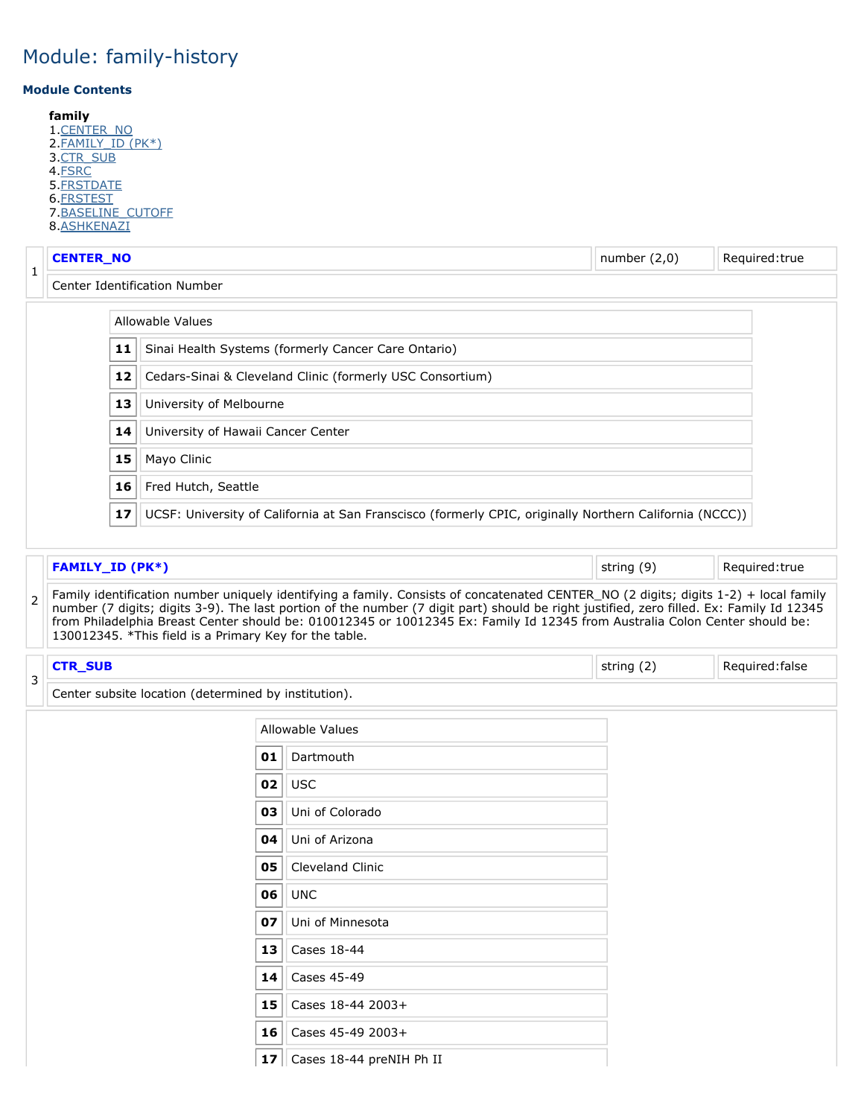#### <span id="page-0-3"></span>**Module Contents**

**family** 1 CENTER NO 2.<u>FAMILY\_ID (PK\*)</u> 3.<u>CTR\_SUB</u> 4.<u>FSRC</u> 5.<u>FRSTDATE</u> 6.<u>FRSTEST</u> 7[.BASELINE\\_CUTOFF](#page-0-3) 8.<u>ASHKENAZI</u>

<span id="page-0-0"></span>

| 1 | <b>CENTER_NO</b>                                                |    |                                                                                                         | number $(2,0)$ | Required: true |  |  |  |
|---|-----------------------------------------------------------------|----|---------------------------------------------------------------------------------------------------------|----------------|----------------|--|--|--|
|   | Center Identification Number                                    |    |                                                                                                         |                |                |  |  |  |
|   |                                                                 |    | <b>Allowable Values</b>                                                                                 |                |                |  |  |  |
|   | Sinai Health Systems (formerly Cancer Care Ontario)<br>11       |    |                                                                                                         |                |                |  |  |  |
|   | Cedars-Sinai & Cleveland Clinic (formerly USC Consortium)<br>12 |    |                                                                                                         |                |                |  |  |  |
|   |                                                                 | 13 | University of Melbourne                                                                                 |                |                |  |  |  |
|   |                                                                 | 14 | University of Hawaii Cancer Center                                                                      |                |                |  |  |  |
|   |                                                                 | 15 | Mayo Clinic                                                                                             |                |                |  |  |  |
|   |                                                                 | 16 | Fred Hutch, Seattle                                                                                     |                |                |  |  |  |
|   |                                                                 | 17 | UCSF: University of California at San Franscisco (formerly CPIC, originally Northern California (NCCC)) |                |                |  |  |  |

<span id="page-0-2"></span><span id="page-0-1"></span>

|               | <b>FAMILY ID (PK*)</b>                                 |            |                                                                                                                                                                                                                                                                                                                                                                                                                 | string (9) | Required: true |  |  |  |  |  |
|---------------|--------------------------------------------------------|------------|-----------------------------------------------------------------------------------------------------------------------------------------------------------------------------------------------------------------------------------------------------------------------------------------------------------------------------------------------------------------------------------------------------------------|------------|----------------|--|--|--|--|--|
| $\mathcal{P}$ | 130012345. *This field is a Primary Key for the table. |            | Family identification number uniquely identifying a family. Consists of concatenated CENTER_NO (2 digits; digits 1-2) + local family<br>number (7 digits; digits 3-9). The last portion of the number (7 digit part) should be right justified, zero filled. Ex: Family Id 12345<br>from Philadelphia Breast Center should be: 010012345 or 10012345 Ex: Family Id 12345 from Australia Colon Center should be: |            |                |  |  |  |  |  |
| 3             | <b>CTR_SUB</b>                                         | string (2) | Required: false                                                                                                                                                                                                                                                                                                                                                                                                 |            |                |  |  |  |  |  |
|               | Center subsite location (determined by institution).   |            |                                                                                                                                                                                                                                                                                                                                                                                                                 |            |                |  |  |  |  |  |
|               |                                                        |            | Allowable Values                                                                                                                                                                                                                                                                                                                                                                                                |            |                |  |  |  |  |  |
|               |                                                        | 01         | Dartmouth                                                                                                                                                                                                                                                                                                                                                                                                       |            |                |  |  |  |  |  |
|               |                                                        | 02         | <b>USC</b>                                                                                                                                                                                                                                                                                                                                                                                                      |            |                |  |  |  |  |  |
|               |                                                        | 03         | Uni of Colorado                                                                                                                                                                                                                                                                                                                                                                                                 |            |                |  |  |  |  |  |
|               |                                                        | 04         | Uni of Arizona                                                                                                                                                                                                                                                                                                                                                                                                  |            |                |  |  |  |  |  |
|               |                                                        | 05         | <b>Cleveland Clinic</b>                                                                                                                                                                                                                                                                                                                                                                                         |            |                |  |  |  |  |  |
|               |                                                        | 06         | <b>UNC</b>                                                                                                                                                                                                                                                                                                                                                                                                      |            |                |  |  |  |  |  |
|               |                                                        | 07         | Uni of Minnesota                                                                                                                                                                                                                                                                                                                                                                                                |            |                |  |  |  |  |  |
|               |                                                        | 13         | Cases 18-44                                                                                                                                                                                                                                                                                                                                                                                                     |            |                |  |  |  |  |  |
|               |                                                        | 14         | Cases 45-49                                                                                                                                                                                                                                                                                                                                                                                                     |            |                |  |  |  |  |  |
|               |                                                        | 15         | Cases 18-44 2003+                                                                                                                                                                                                                                                                                                                                                                                               |            |                |  |  |  |  |  |
|               |                                                        | 16         | Cases 45-49 2003+                                                                                                                                                                                                                                                                                                                                                                                               |            |                |  |  |  |  |  |
|               |                                                        |            | 17 $\vert$ Cases 18-44 preNIH Ph II                                                                                                                                                                                                                                                                                                                                                                             |            |                |  |  |  |  |  |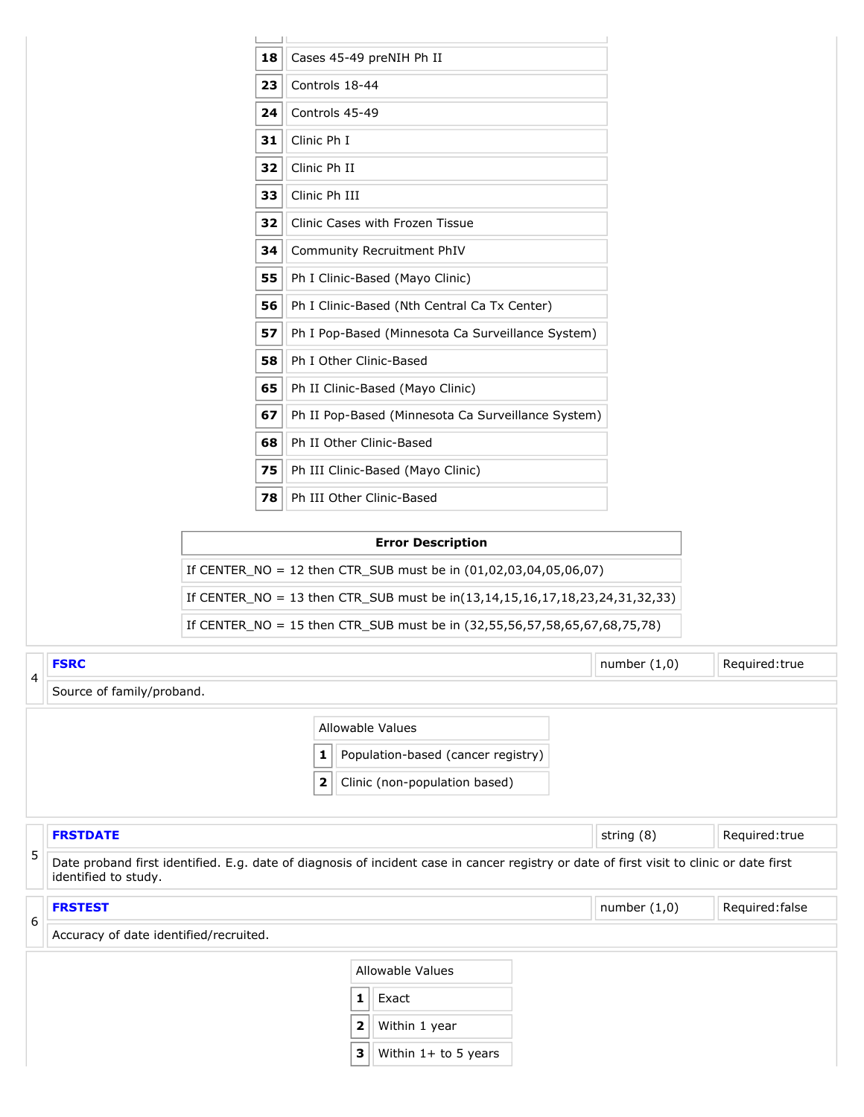<span id="page-1-2"></span><span id="page-1-1"></span><span id="page-1-0"></span>

|   |                                                                                                                                                                  | 18 |                         |   | Cases 45-49 preNIH Ph II                                                    |                |                 |
|---|------------------------------------------------------------------------------------------------------------------------------------------------------------------|----|-------------------------|---|-----------------------------------------------------------------------------|----------------|-----------------|
|   |                                                                                                                                                                  | 23 | Controls 18-44          |   |                                                                             |                |                 |
|   |                                                                                                                                                                  | 24 | Controls 45-49          |   |                                                                             |                |                 |
|   |                                                                                                                                                                  | 31 | Clinic Ph I             |   |                                                                             |                |                 |
|   |                                                                                                                                                                  | 32 | Clinic Ph II            |   |                                                                             |                |                 |
|   |                                                                                                                                                                  | 33 | Clinic Ph III           |   |                                                                             |                |                 |
|   |                                                                                                                                                                  | 32 |                         |   | Clinic Cases with Frozen Tissue                                             |                |                 |
|   |                                                                                                                                                                  | 34 |                         |   | Community Recruitment PhIV                                                  |                |                 |
|   |                                                                                                                                                                  | 55 |                         |   | Ph I Clinic-Based (Mayo Clinic)                                             |                |                 |
|   |                                                                                                                                                                  | 56 |                         |   | Ph I Clinic-Based (Nth Central Ca Tx Center)                                |                |                 |
|   |                                                                                                                                                                  | 57 |                         |   | Ph I Pop-Based (Minnesota Ca Surveillance System)                           |                |                 |
|   |                                                                                                                                                                  | 58 |                         |   | Ph I Other Clinic-Based                                                     |                |                 |
|   |                                                                                                                                                                  | 65 |                         |   | Ph II Clinic-Based (Mayo Clinic)                                            |                |                 |
|   |                                                                                                                                                                  | 67 |                         |   | Ph II Pop-Based (Minnesota Ca Surveillance System)                          |                |                 |
|   |                                                                                                                                                                  | 68 |                         |   | Ph II Other Clinic-Based                                                    |                |                 |
|   |                                                                                                                                                                  | 75 |                         |   | Ph III Clinic-Based (Mayo Clinic)                                           |                |                 |
|   |                                                                                                                                                                  | 78 |                         |   | Ph III Other Clinic-Based                                                   |                |                 |
|   |                                                                                                                                                                  |    |                         |   | <b>Error Description</b>                                                    |                |                 |
|   |                                                                                                                                                                  |    |                         |   | If CENTER_NO = 12 then CTR_SUB must be in $(01,02,03,04,05,06,07)$          |                |                 |
|   |                                                                                                                                                                  |    |                         |   | If CENTER_NO = 13 then CTR_SUB must be in(13,14,15,16,17,18,23,24,31,32,33) |                |                 |
|   |                                                                                                                                                                  |    |                         |   | If CENTER_NO = 15 then CTR_SUB must be in (32,55,56,57,58,65,67,68,75,78)   |                |                 |
|   |                                                                                                                                                                  |    |                         |   |                                                                             |                |                 |
| 4 | <b>FSRC</b>                                                                                                                                                      |    |                         |   |                                                                             | number $(1,0)$ | Required: true  |
|   | Source of family/proband.                                                                                                                                        |    |                         |   |                                                                             |                |                 |
|   |                                                                                                                                                                  |    |                         |   | Allowable Values                                                            |                |                 |
|   |                                                                                                                                                                  |    | 1                       |   | Population-based (cancer registry)                                          |                |                 |
|   |                                                                                                                                                                  |    | $\overline{\mathbf{2}}$ |   | Clinic (non-population based)                                               |                |                 |
|   | <b>FRSTDATE</b>                                                                                                                                                  |    |                         |   |                                                                             | string (8)     | Required:true   |
| 5 | Date proband first identified. E.g. date of diagnosis of incident case in cancer registry or date of first visit to clinic or date first<br>identified to study. |    |                         |   |                                                                             |                |                 |
|   | <b>FRSTEST</b>                                                                                                                                                   |    |                         |   |                                                                             | number $(1,0)$ | Required: false |
| 6 | Accuracy of date identified/recruited.                                                                                                                           |    |                         |   |                                                                             |                |                 |
|   |                                                                                                                                                                  |    |                         |   | Allowable Values                                                            |                |                 |
|   |                                                                                                                                                                  |    |                         | 1 | Exact                                                                       |                |                 |
|   |                                                                                                                                                                  |    |                         | 2 | Within 1 year                                                               |                |                 |
|   |                                                                                                                                                                  |    |                         | 3 | Within $1+$ to 5 years                                                      |                |                 |
|   |                                                                                                                                                                  |    |                         |   |                                                                             |                |                 |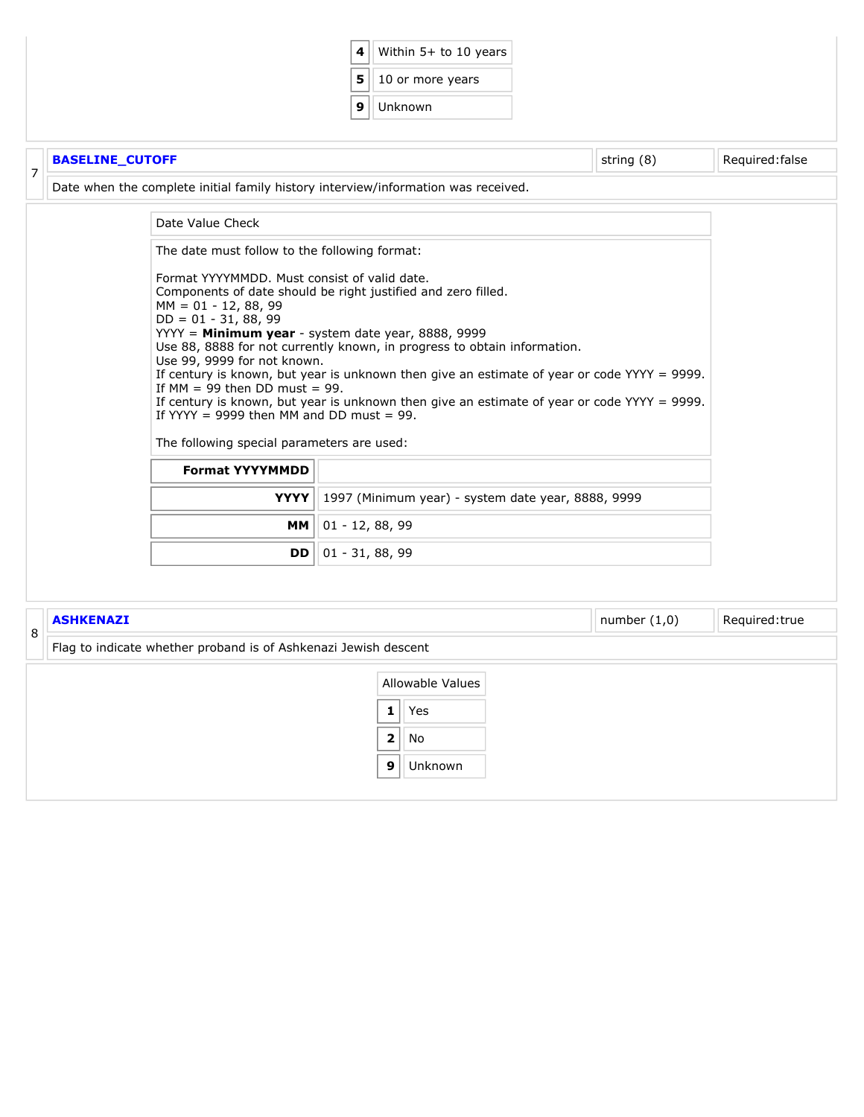|   |                        |                                                                                                                                                                                                                                                                                                                                                                                     | 4                 | Within 5+ to 10 years                                                                                                                                                                                                                                                     |                |                 |
|---|------------------------|-------------------------------------------------------------------------------------------------------------------------------------------------------------------------------------------------------------------------------------------------------------------------------------------------------------------------------------------------------------------------------------|-------------------|---------------------------------------------------------------------------------------------------------------------------------------------------------------------------------------------------------------------------------------------------------------------------|----------------|-----------------|
|   |                        |                                                                                                                                                                                                                                                                                                                                                                                     | 5                 | 10 or more years                                                                                                                                                                                                                                                          |                |                 |
|   |                        |                                                                                                                                                                                                                                                                                                                                                                                     | 9                 | Unknown                                                                                                                                                                                                                                                                   |                |                 |
|   |                        |                                                                                                                                                                                                                                                                                                                                                                                     |                   |                                                                                                                                                                                                                                                                           |                |                 |
|   | <b>BASELINE_CUTOFF</b> |                                                                                                                                                                                                                                                                                                                                                                                     |                   |                                                                                                                                                                                                                                                                           | string (8)     | Required: false |
| 7 |                        | Date when the complete initial family history interview/information was received.                                                                                                                                                                                                                                                                                                   |                   |                                                                                                                                                                                                                                                                           |                |                 |
|   |                        | Date Value Check                                                                                                                                                                                                                                                                                                                                                                    |                   |                                                                                                                                                                                                                                                                           |                |                 |
|   |                        | The date must follow to the following format:                                                                                                                                                                                                                                                                                                                                       |                   |                                                                                                                                                                                                                                                                           |                |                 |
|   |                        | Format YYYYMMDD. Must consist of valid date.<br>Components of date should be right justified and zero filled.<br>$MM = 01 - 12, 88, 99$<br>$DD = 01 - 31, 88, 99$<br>YYYY = Minimum year - system date year, 8888, 9999<br>Use 99, 9999 for not known.<br>If $MM = 99$ then DD must = 99.<br>If YYYY = 9999 then MM and DD must = 99.<br>The following special parameters are used: |                   | Use 88, 8888 for not currently known, in progress to obtain information.<br>If century is known, but year is unknown then give an estimate of year or code YYYY = 9999.<br>If century is known, but year is unknown then give an estimate of year or code $YYYY = 9999$ . |                |                 |
|   |                        | <b>Format YYYYMMDD</b>                                                                                                                                                                                                                                                                                                                                                              |                   |                                                                                                                                                                                                                                                                           |                |                 |
|   |                        | <b>YYYY</b>                                                                                                                                                                                                                                                                                                                                                                         |                   | 1997 (Minimum year) - system date year, 8888, 9999                                                                                                                                                                                                                        |                |                 |
|   |                        | MМ                                                                                                                                                                                                                                                                                                                                                                                  | $01 - 12, 88, 99$ |                                                                                                                                                                                                                                                                           |                |                 |
|   |                        | <b>DD</b>                                                                                                                                                                                                                                                                                                                                                                           | $01 - 31, 88, 99$ |                                                                                                                                                                                                                                                                           |                |                 |
|   |                        |                                                                                                                                                                                                                                                                                                                                                                                     |                   |                                                                                                                                                                                                                                                                           |                |                 |
|   | <b>ASHKENAZI</b>       |                                                                                                                                                                                                                                                                                                                                                                                     |                   |                                                                                                                                                                                                                                                                           | number $(1,0)$ | Required: true  |
| 8 |                        | Flag to indicate whether proband is of Ashkenazi Jewish descent                                                                                                                                                                                                                                                                                                                     |                   |                                                                                                                                                                                                                                                                           |                |                 |
|   |                        |                                                                                                                                                                                                                                                                                                                                                                                     |                   |                                                                                                                                                                                                                                                                           |                |                 |

<span id="page-2-0"></span>

| Allowable Values |         |  |
|------------------|---------|--|
| 1                | Yes     |  |
| 2                | No      |  |
| q                | Unknown |  |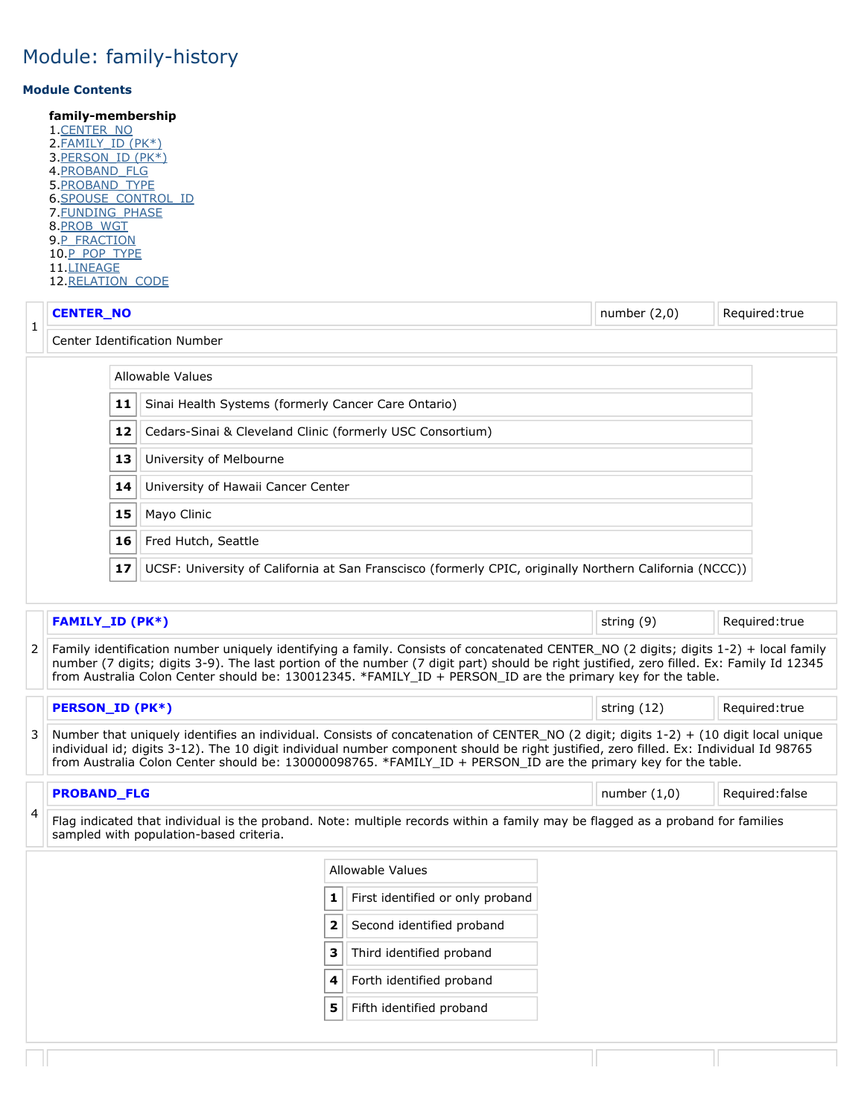#### **Module Contents**

**family-membership** 1[.CENTER\\_NO](#page-3-0) 2[.FAMILY\\_ID \(PK\\*\)](#page-3-1) 3[.PERSON\\_ID \(PK\\*\)](#page-3-2) 4.<u>PROBAND\_FLG</u> 5[.PROBAND\\_TYPE](#page-3-4) 6[.SPOUSE\\_CONTROL\\_ID](#page-4-0) 7.<u>FUNDING\_PHASE</u> 8[.PROB\\_WGT](#page-4-2) 9 P\_FRACTION 10[.P\\_POP\\_TYPE](#page-4-4) 11[.LINEAGE](#page-4-5) 12. RELATION CODE

<span id="page-3-2"></span><span id="page-3-1"></span><span id="page-3-0"></span>

|                                                                                                                                                                                | <b>CENTER_NO</b>                                                                                                                                                                                                                                                                                                                                                                                |    |                                                           |   |                                                                                                                                                                                                                                                                                                                                                                                                 | number $(2,0)$ |  | Required:true   |  |  |  |
|--------------------------------------------------------------------------------------------------------------------------------------------------------------------------------|-------------------------------------------------------------------------------------------------------------------------------------------------------------------------------------------------------------------------------------------------------------------------------------------------------------------------------------------------------------------------------------------------|----|-----------------------------------------------------------|---|-------------------------------------------------------------------------------------------------------------------------------------------------------------------------------------------------------------------------------------------------------------------------------------------------------------------------------------------------------------------------------------------------|----------------|--|-----------------|--|--|--|
| $\mathbf 1$                                                                                                                                                                    |                                                                                                                                                                                                                                                                                                                                                                                                 |    | Center Identification Number                              |   |                                                                                                                                                                                                                                                                                                                                                                                                 |                |  |                 |  |  |  |
|                                                                                                                                                                                |                                                                                                                                                                                                                                                                                                                                                                                                 |    | <b>Allowable Values</b>                                   |   |                                                                                                                                                                                                                                                                                                                                                                                                 |                |  |                 |  |  |  |
|                                                                                                                                                                                | Sinai Health Systems (formerly Cancer Care Ontario)<br>11                                                                                                                                                                                                                                                                                                                                       |    |                                                           |   |                                                                                                                                                                                                                                                                                                                                                                                                 |                |  |                 |  |  |  |
|                                                                                                                                                                                |                                                                                                                                                                                                                                                                                                                                                                                                 | 12 | Cedars-Sinai & Cleveland Clinic (formerly USC Consortium) |   |                                                                                                                                                                                                                                                                                                                                                                                                 |                |  |                 |  |  |  |
|                                                                                                                                                                                |                                                                                                                                                                                                                                                                                                                                                                                                 | 13 | University of Melbourne                                   |   |                                                                                                                                                                                                                                                                                                                                                                                                 |                |  |                 |  |  |  |
|                                                                                                                                                                                |                                                                                                                                                                                                                                                                                                                                                                                                 | 14 | University of Hawaii Cancer Center                        |   |                                                                                                                                                                                                                                                                                                                                                                                                 |                |  |                 |  |  |  |
|                                                                                                                                                                                |                                                                                                                                                                                                                                                                                                                                                                                                 | 15 | Mayo Clinic                                               |   |                                                                                                                                                                                                                                                                                                                                                                                                 |                |  |                 |  |  |  |
|                                                                                                                                                                                |                                                                                                                                                                                                                                                                                                                                                                                                 | 16 | Fred Hutch, Seattle                                       |   |                                                                                                                                                                                                                                                                                                                                                                                                 |                |  |                 |  |  |  |
|                                                                                                                                                                                |                                                                                                                                                                                                                                                                                                                                                                                                 | 17 |                                                           |   | UCSF: University of California at San Franscisco (formerly CPIC, originally Northern California (NCCC))                                                                                                                                                                                                                                                                                         |                |  |                 |  |  |  |
|                                                                                                                                                                                |                                                                                                                                                                                                                                                                                                                                                                                                 |    |                                                           |   |                                                                                                                                                                                                                                                                                                                                                                                                 |                |  |                 |  |  |  |
|                                                                                                                                                                                | <b>FAMILY_ID (PK*)</b>                                                                                                                                                                                                                                                                                                                                                                          |    |                                                           |   |                                                                                                                                                                                                                                                                                                                                                                                                 | string (9)     |  | Required:true   |  |  |  |
| 2                                                                                                                                                                              |                                                                                                                                                                                                                                                                                                                                                                                                 |    |                                                           |   | Family identification number uniquely identifying a family. Consists of concatenated CENTER_NO (2 digits; digits 1-2) + local family<br>number (7 digits; digits 3-9). The last portion of the number (7 digit part) should be right justified, zero filled. Ex: Family Id 12345<br>from Australia Colon Center should be: 130012345. *FAMILY ID + PERSON ID are the primary key for the table. |                |  |                 |  |  |  |
|                                                                                                                                                                                | <b>PERSON_ID (PK*)</b>                                                                                                                                                                                                                                                                                                                                                                          |    |                                                           |   |                                                                                                                                                                                                                                                                                                                                                                                                 | string (12)    |  | Required: true  |  |  |  |
| 3                                                                                                                                                                              | Number that uniquely identifies an individual. Consists of concatenation of CENTER_NO (2 digit; digits 1-2) + (10 digit local unique<br>individual id; digits 3-12). The 10 digit individual number component should be right justified, zero filled. Ex: Individual Id 98765<br>from Australia Colon Center should be: 130000098765. *FAMILY ID + PERSON ID are the primary key for the table. |    |                                                           |   |                                                                                                                                                                                                                                                                                                                                                                                                 |                |  |                 |  |  |  |
|                                                                                                                                                                                | <b>PROBAND_FLG</b>                                                                                                                                                                                                                                                                                                                                                                              |    |                                                           |   |                                                                                                                                                                                                                                                                                                                                                                                                 | number $(1,0)$ |  | Required: false |  |  |  |
| 4<br>Flag indicated that individual is the proband. Note: multiple records within a family may be flagged as a proband for families<br>sampled with population-based criteria. |                                                                                                                                                                                                                                                                                                                                                                                                 |    |                                                           |   |                                                                                                                                                                                                                                                                                                                                                                                                 |                |  |                 |  |  |  |
|                                                                                                                                                                                |                                                                                                                                                                                                                                                                                                                                                                                                 |    |                                                           |   | Allowable Values                                                                                                                                                                                                                                                                                                                                                                                |                |  |                 |  |  |  |
|                                                                                                                                                                                |                                                                                                                                                                                                                                                                                                                                                                                                 |    |                                                           | 1 | First identified or only proband                                                                                                                                                                                                                                                                                                                                                                |                |  |                 |  |  |  |
|                                                                                                                                                                                |                                                                                                                                                                                                                                                                                                                                                                                                 |    |                                                           | 2 | Second identified proband                                                                                                                                                                                                                                                                                                                                                                       |                |  |                 |  |  |  |
|                                                                                                                                                                                |                                                                                                                                                                                                                                                                                                                                                                                                 |    |                                                           | 3 | Third identified proband                                                                                                                                                                                                                                                                                                                                                                        |                |  |                 |  |  |  |
| $\overline{a}$<br>Earth identified proband                                                                                                                                     |                                                                                                                                                                                                                                                                                                                                                                                                 |    |                                                           |   |                                                                                                                                                                                                                                                                                                                                                                                                 |                |  |                 |  |  |  |

- <span id="page-3-3"></span>**4** | Forth identified proband
- <span id="page-3-4"></span>**5** Fifth identified proband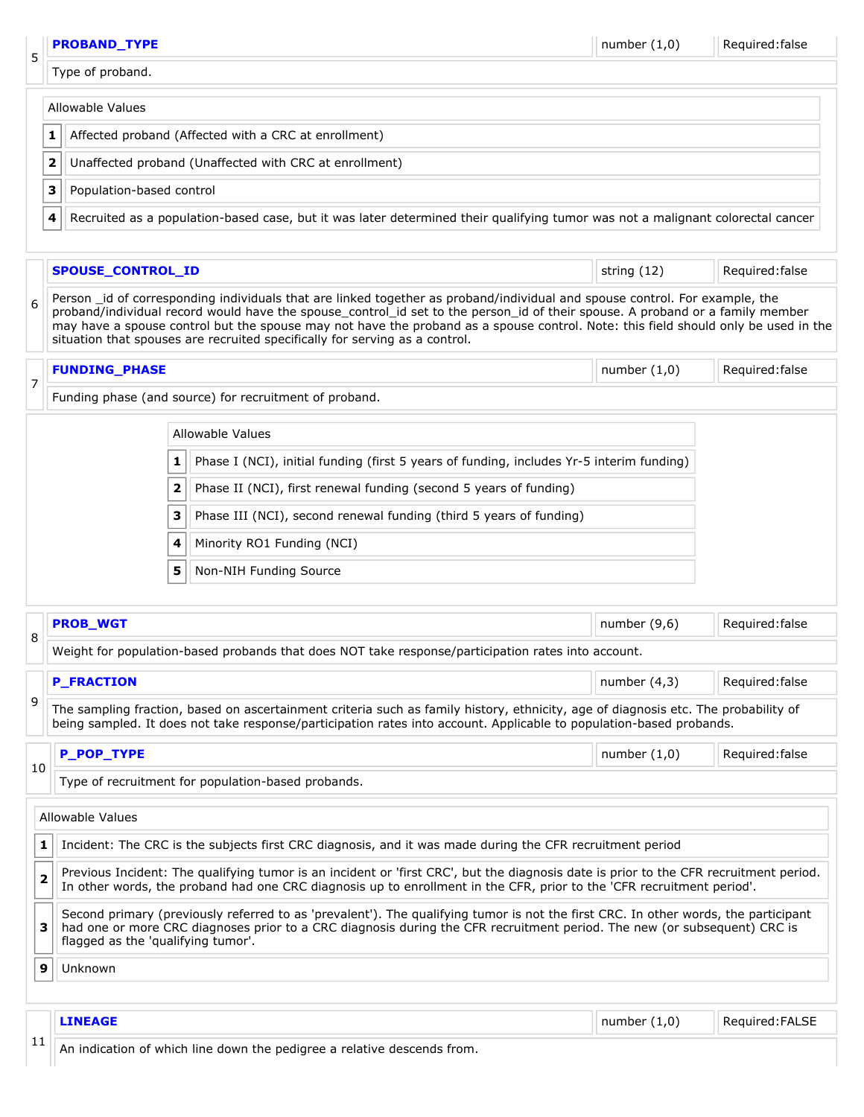<span id="page-4-5"></span><span id="page-4-4"></span><span id="page-4-3"></span><span id="page-4-2"></span><span id="page-4-1"></span><span id="page-4-0"></span>

|    |                         | <b>PROBAND TYPE</b>                                                                                                            |              |                                                                                                                                                                                                                                                                                                                                                                                                                                                                                   | number $(1,0)$ | Required: false |  |  |  |  |
|----|-------------------------|--------------------------------------------------------------------------------------------------------------------------------|--------------|-----------------------------------------------------------------------------------------------------------------------------------------------------------------------------------------------------------------------------------------------------------------------------------------------------------------------------------------------------------------------------------------------------------------------------------------------------------------------------------|----------------|-----------------|--|--|--|--|
| 5  |                         | Type of proband.                                                                                                               |              |                                                                                                                                                                                                                                                                                                                                                                                                                                                                                   |                |                 |  |  |  |  |
|    |                         | <b>Allowable Values</b>                                                                                                        |              |                                                                                                                                                                                                                                                                                                                                                                                                                                                                                   |                |                 |  |  |  |  |
|    | 1                       |                                                                                                                                |              | Affected proband (Affected with a CRC at enrollment)                                                                                                                                                                                                                                                                                                                                                                                                                              |                |                 |  |  |  |  |
|    | 2                       |                                                                                                                                |              | Unaffected proband (Unaffected with CRC at enrollment)                                                                                                                                                                                                                                                                                                                                                                                                                            |                |                 |  |  |  |  |
|    | 3                       | Population-based control                                                                                                       |              |                                                                                                                                                                                                                                                                                                                                                                                                                                                                                   |                |                 |  |  |  |  |
|    | 4                       | Recruited as a population-based case, but it was later determined their qualifying tumor was not a malignant colorectal cancer |              |                                                                                                                                                                                                                                                                                                                                                                                                                                                                                   |                |                 |  |  |  |  |
|    |                         | SPOUSE_CONTROL_ID                                                                                                              |              |                                                                                                                                                                                                                                                                                                                                                                                                                                                                                   | string (12)    | Required: false |  |  |  |  |
| 6  |                         |                                                                                                                                |              | Person _id of corresponding individuals that are linked together as proband/individual and spouse control. For example, the<br>proband/individual record would have the spouse_control_id set to the person_id of their spouse. A proband or a family member<br>may have a spouse control but the spouse may not have the proband as a spouse control. Note: this field should only be used in the<br>situation that spouses are recruited specifically for serving as a control. |                |                 |  |  |  |  |
|    |                         | <b>FUNDING_PHASE</b>                                                                                                           |              |                                                                                                                                                                                                                                                                                                                                                                                                                                                                                   | number $(1,0)$ | Required: false |  |  |  |  |
| 7  |                         |                                                                                                                                |              | Funding phase (and source) for recruitment of proband.                                                                                                                                                                                                                                                                                                                                                                                                                            |                |                 |  |  |  |  |
|    |                         |                                                                                                                                |              | Allowable Values                                                                                                                                                                                                                                                                                                                                                                                                                                                                  |                |                 |  |  |  |  |
|    |                         |                                                                                                                                | 1            | Phase I (NCI), initial funding (first 5 years of funding, includes Yr-5 interim funding)                                                                                                                                                                                                                                                                                                                                                                                          |                |                 |  |  |  |  |
|    |                         |                                                                                                                                | $\mathbf{2}$ | Phase II (NCI), first renewal funding (second 5 years of funding)                                                                                                                                                                                                                                                                                                                                                                                                                 |                |                 |  |  |  |  |
|    |                         |                                                                                                                                | З            | Phase III (NCI), second renewal funding (third 5 years of funding)                                                                                                                                                                                                                                                                                                                                                                                                                |                |                 |  |  |  |  |
|    |                         |                                                                                                                                | 4            | Minority RO1 Funding (NCI)                                                                                                                                                                                                                                                                                                                                                                                                                                                        |                |                 |  |  |  |  |
|    |                         |                                                                                                                                | 5            | Non-NIH Funding Source                                                                                                                                                                                                                                                                                                                                                                                                                                                            |                |                 |  |  |  |  |
|    |                         |                                                                                                                                |              |                                                                                                                                                                                                                                                                                                                                                                                                                                                                                   |                |                 |  |  |  |  |
| 8  |                         | <b>PROB_WGT</b>                                                                                                                |              |                                                                                                                                                                                                                                                                                                                                                                                                                                                                                   | number $(9,6)$ | Required: false |  |  |  |  |
|    |                         |                                                                                                                                |              | Weight for population-based probands that does NOT take response/participation rates into account.                                                                                                                                                                                                                                                                                                                                                                                |                |                 |  |  |  |  |
|    |                         | <b>P_FRACTION</b>                                                                                                              |              |                                                                                                                                                                                                                                                                                                                                                                                                                                                                                   | number $(4,3)$ | Required: false |  |  |  |  |
| 9  |                         |                                                                                                                                |              | The sampling fraction, based on ascertainment criteria such as family history, ethnicity, age of diagnosis etc. The probability of<br>being sampled. It does not take response/participation rates into account. Applicable to population-based probands.                                                                                                                                                                                                                         |                |                 |  |  |  |  |
|    |                         | <b>P_POP_TYPE</b>                                                                                                              |              |                                                                                                                                                                                                                                                                                                                                                                                                                                                                                   | number $(1,0)$ | Required: false |  |  |  |  |
| 10 |                         |                                                                                                                                |              | Type of recruitment for population-based probands.                                                                                                                                                                                                                                                                                                                                                                                                                                |                |                 |  |  |  |  |
|    |                         | Allowable Values                                                                                                               |              |                                                                                                                                                                                                                                                                                                                                                                                                                                                                                   |                |                 |  |  |  |  |
|    | 1                       |                                                                                                                                |              | Incident: The CRC is the subjects first CRC diagnosis, and it was made during the CFR recruitment period                                                                                                                                                                                                                                                                                                                                                                          |                |                 |  |  |  |  |
|    | $\overline{\mathbf{2}}$ |                                                                                                                                |              | Previous Incident: The qualifying tumor is an incident or 'first CRC', but the diagnosis date is prior to the CFR recruitment period.<br>In other words, the proband had one CRC diagnosis up to enrollment in the CFR, prior to the 'CFR recruitment period'.                                                                                                                                                                                                                    |                |                 |  |  |  |  |
| з  |                         | flagged as the 'qualifying tumor'.                                                                                             |              | Second primary (previously referred to as 'prevalent'). The qualifying tumor is not the first CRC. In other words, the participant<br>had one or more CRC diagnoses prior to a CRC diagnosis during the CFR recruitment period. The new (or subsequent) CRC is                                                                                                                                                                                                                    |                |                 |  |  |  |  |
| 9  |                         | Unknown                                                                                                                        |              |                                                                                                                                                                                                                                                                                                                                                                                                                                                                                   |                |                 |  |  |  |  |
|    |                         | <b>LINEAGE</b>                                                                                                                 |              |                                                                                                                                                                                                                                                                                                                                                                                                                                                                                   | number $(1,0)$ | Required: FALSE |  |  |  |  |
| 11 |                         |                                                                                                                                |              | An indication of which line down the pedigree a relative descends from.                                                                                                                                                                                                                                                                                                                                                                                                           |                |                 |  |  |  |  |
|    |                         |                                                                                                                                |              |                                                                                                                                                                                                                                                                                                                                                                                                                                                                                   |                |                 |  |  |  |  |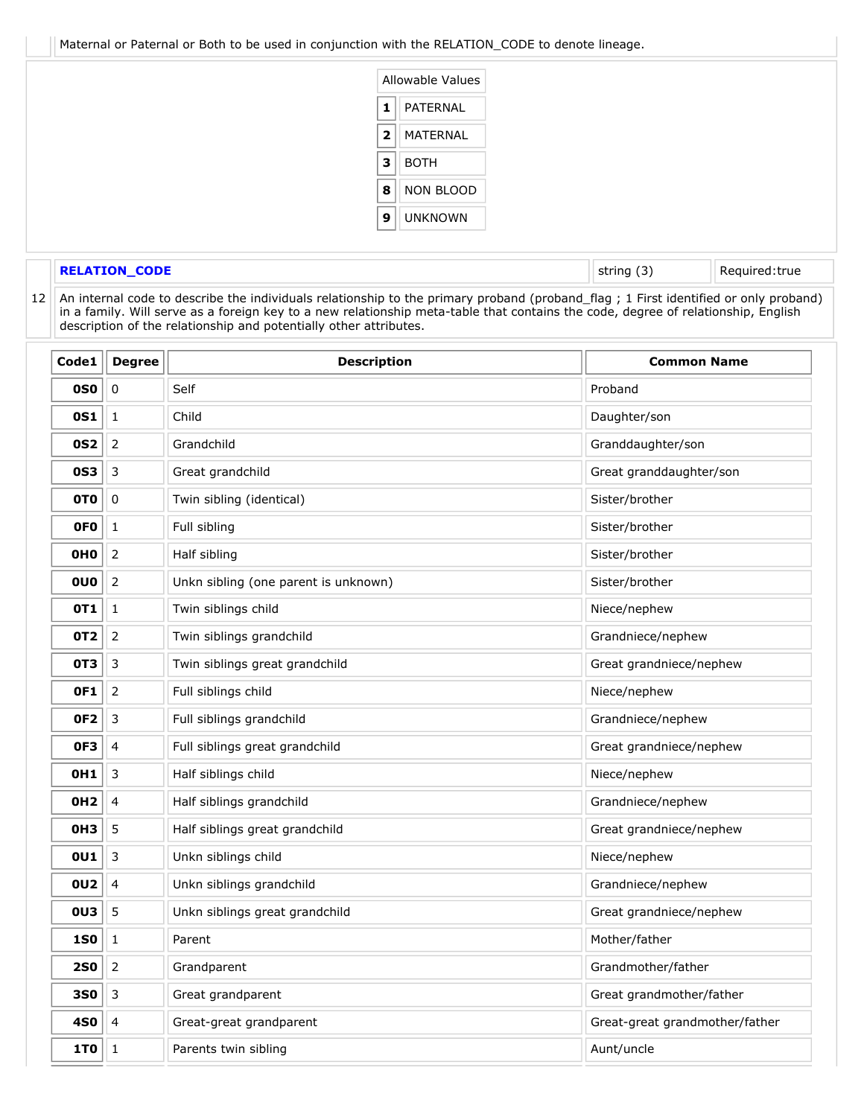Maternal or Paternal or Both to be used in conjunction with the RELATION\_CODE to denote lineage.



### <span id="page-5-0"></span>12 **RELATION\_CODE** String (3) Required:true

An internal code to describe the individuals relationship to the primary proband (proband\_flag ; 1 First identified or only proband) in a family. Will serve as a foreign key to a new relationship meta-table that contains the code, degree of relationship, English description of the relationship and potentially other attributes.

| Code1           | <b>Degree</b>  | <b>Description</b>                   | <b>Common Name</b>             |
|-----------------|----------------|--------------------------------------|--------------------------------|
| <b>0S0</b>      | $\mathbf 0$    | Self                                 | Proband                        |
| <b>0S1</b>      | $1\,$          | Child                                | Daughter/son                   |
| <b>0S2</b>      | $\mathbf 2$    | Grandchild                           | Granddaughter/son              |
| <b>0S3</b>      | 3              | Great grandchild                     | Great granddaughter/son        |
| 0TO             | $\mathbf 0$    | Twin sibling (identical)             | Sister/brother                 |
| <b>OFO</b>      | 1              | Full sibling                         | Sister/brother                 |
| <b>OHO</b>      | $\mathbf 2$    | Half sibling                         | Sister/brother                 |
| <b>OUO</b>      | $\mathbf 2$    | Unkn sibling (one parent is unknown) | Sister/brother                 |
| 0T1             | $\mathbf 1$    | Twin siblings child                  | Niece/nephew                   |
| 0T <sub>2</sub> | 2              | Twin siblings grandchild             | Grandniece/nephew              |
| 0T3             | 3              | Twin siblings great grandchild       | Great grandniece/nephew        |
| <b>OF1</b>      | 2              | Full siblings child                  | Niece/nephew                   |
| OF <sub>2</sub> | 3              | Full siblings grandchild             | Grandniece/nephew              |
| OF3             | 4              | Full siblings great grandchild       | Great grandniece/nephew        |
| 0H1             | 3              | Half siblings child                  | Niece/nephew                   |
| 0H2             | $\overline{4}$ | Half siblings grandchild             | Grandniece/nephew              |
| <b>OH3</b>      | 5              | Half siblings great grandchild       | Great grandniece/nephew        |
| 0U1             | 3              | Unkn siblings child                  | Niece/nephew                   |
| <b>0U2</b>      | 4              | Unkn siblings grandchild             | Grandniece/nephew              |
| <b>0U3</b>      | 5              | Unkn siblings great grandchild       | Great grandniece/nephew        |
| <b>1S0</b>      | 1              | Parent                               | Mother/father                  |
| <b>2S0</b>      | 2              | Grandparent                          | Grandmother/father             |
| <b>3S0</b>      | 3              | Great grandparent                    | Great grandmother/father       |
| 4S0             | 4              | Great-great grandparent              | Great-great grandmother/father |
| 1T <sub>0</sub> | $\mathbf 1$    | Parents twin sibling                 | Aunt/uncle                     |
|                 |                |                                      |                                |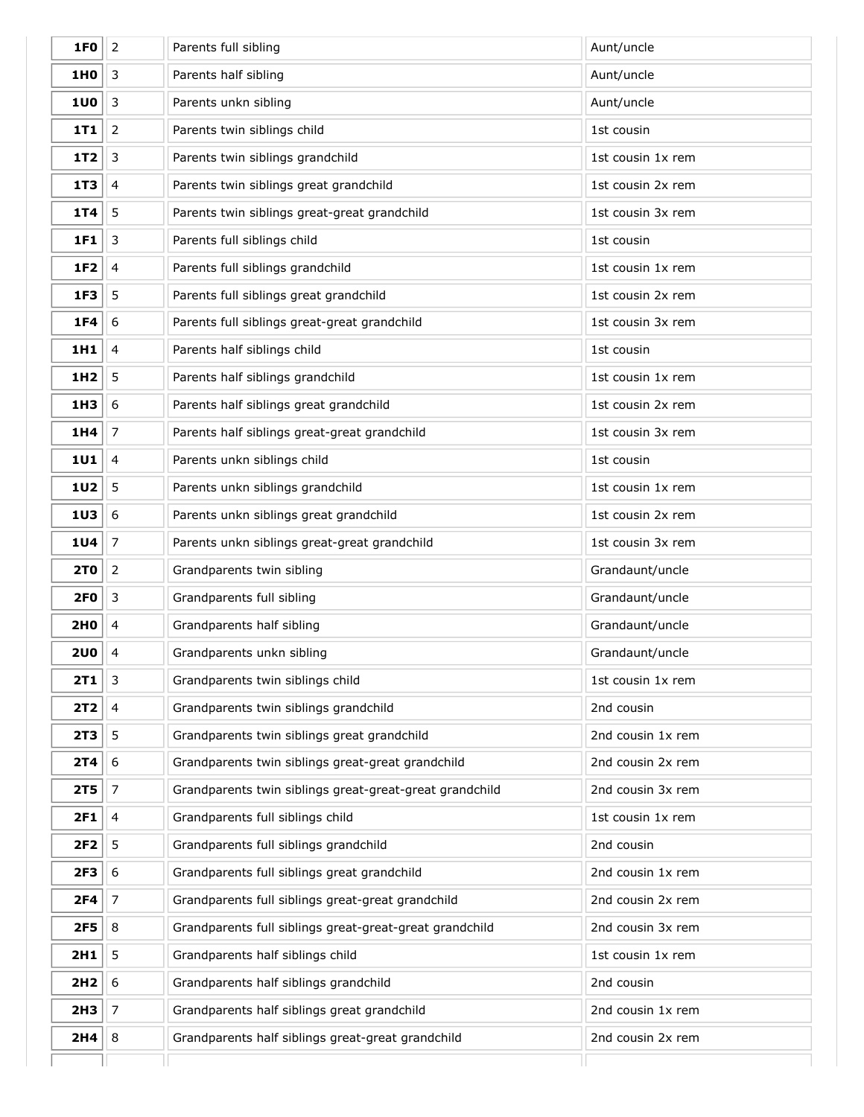| 1F <sub>0</sub> | $\mathbf 2$             | Parents full sibling                                    | Aunt/uncle        |
|-----------------|-------------------------|---------------------------------------------------------|-------------------|
| 1H0             | $\mathbf{3}$            | Parents half sibling                                    | Aunt/uncle        |
| <b>1U0</b>      | $\mathfrak{Z}$          | Parents unkn sibling                                    | Aunt/uncle        |
| 1T1             | $\overline{2}$          | Parents twin siblings child                             | 1st cousin        |
| <b>1T2</b>      | $\mathsf 3$             | Parents twin siblings grandchild                        | 1st cousin 1x rem |
| 1T3             | $\overline{4}$          | Parents twin siblings great grandchild                  | 1st cousin 2x rem |
| 1T4             | 5                       | Parents twin siblings great-great grandchild            | 1st cousin 3x rem |
| 1F1             | $\mathbf{3}$            | Parents full siblings child                             | 1st cousin        |
| 1F2             | $\overline{\mathbf{4}}$ | Parents full siblings grandchild                        | 1st cousin 1x rem |
| 1F3             | 5                       | Parents full siblings great grandchild                  | 1st cousin 2x rem |
| 1F4             | 6                       | Parents full siblings great-great grandchild            | 1st cousin 3x rem |
| 1H1             | $\overline{4}$          | Parents half siblings child                             | 1st cousin        |
| 1H <sub>2</sub> | 5                       | Parents half siblings grandchild                        | 1st cousin 1x rem |
| 1H3             | 6                       | Parents half siblings great grandchild                  | 1st cousin 2x rem |
| 1H4             | $\overline{7}$          | Parents half siblings great-great grandchild            | 1st cousin 3x rem |
| <b>1U1</b>      | $\overline{4}$          | Parents unkn siblings child                             | 1st cousin        |
| <b>1U2</b>      | 5                       | Parents unkn siblings grandchild                        | 1st cousin 1x rem |
| 1U3             | 6                       | Parents unkn siblings great grandchild                  | 1st cousin 2x rem |
| <b>1U4</b>      | $\overline{7}$          | Parents unkn siblings great-great grandchild            | 1st cousin 3x rem |
| <b>2TO</b>      | $\overline{2}$          | Grandparents twin sibling                               | Grandaunt/uncle   |
| <b>2F0</b>      | $\mathsf 3$             | Grandparents full sibling                               | Grandaunt/uncle   |
| 2H0             | 4                       | Grandparents half sibling                               | Grandaunt/uncle   |
| <b>2U0</b>      | 4                       | Grandparents unkn sibling                               | Grandaunt/uncle   |
| 2T 1            | 3                       | Grandparents twin siblings child                        | 1st cousin 1x rem |
| 2T2             | $\overline{\mathbf{4}}$ | Grandparents twin siblings grandchild                   | 2nd cousin        |
| 2T3             | 5                       | Grandparents twin siblings great grandchild             | 2nd cousin 1x rem |
| 2T4             | $\boldsymbol{6}$        | Grandparents twin siblings great-great grandchild       | 2nd cousin 2x rem |
| <b>2T5</b>      | $\overline{7}$          | Grandparents twin siblings great-great-great grandchild | 2nd cousin 3x rem |
| 2F1             | $\overline{4}$          | Grandparents full siblings child                        | 1st cousin 1x rem |
| 2F2             | 5                       | Grandparents full siblings grandchild                   | 2nd cousin        |
| 2F3             | $\boldsymbol{6}$        | Grandparents full siblings great grandchild             | 2nd cousin 1x rem |
| 2F4             | $\overline{7}$          | Grandparents full siblings great-great grandchild       | 2nd cousin 2x rem |
| <b>2F5</b>      | $\,8\,$                 | Grandparents full siblings great-great-great grandchild | 2nd cousin 3x rem |
| 2H1             | 5                       | Grandparents half siblings child                        | 1st cousin 1x rem |
| 2H <sub>2</sub> | 6                       | Grandparents half siblings grandchild                   | 2nd cousin        |
| 2H <sub>3</sub> | $\overline{7}$          | Grandparents half siblings great grandchild             | 2nd cousin 1x rem |
| 2H4             | 8                       | Grandparents half siblings great-great grandchild       | 2nd cousin 2x rem |
|                 |                         |                                                         |                   |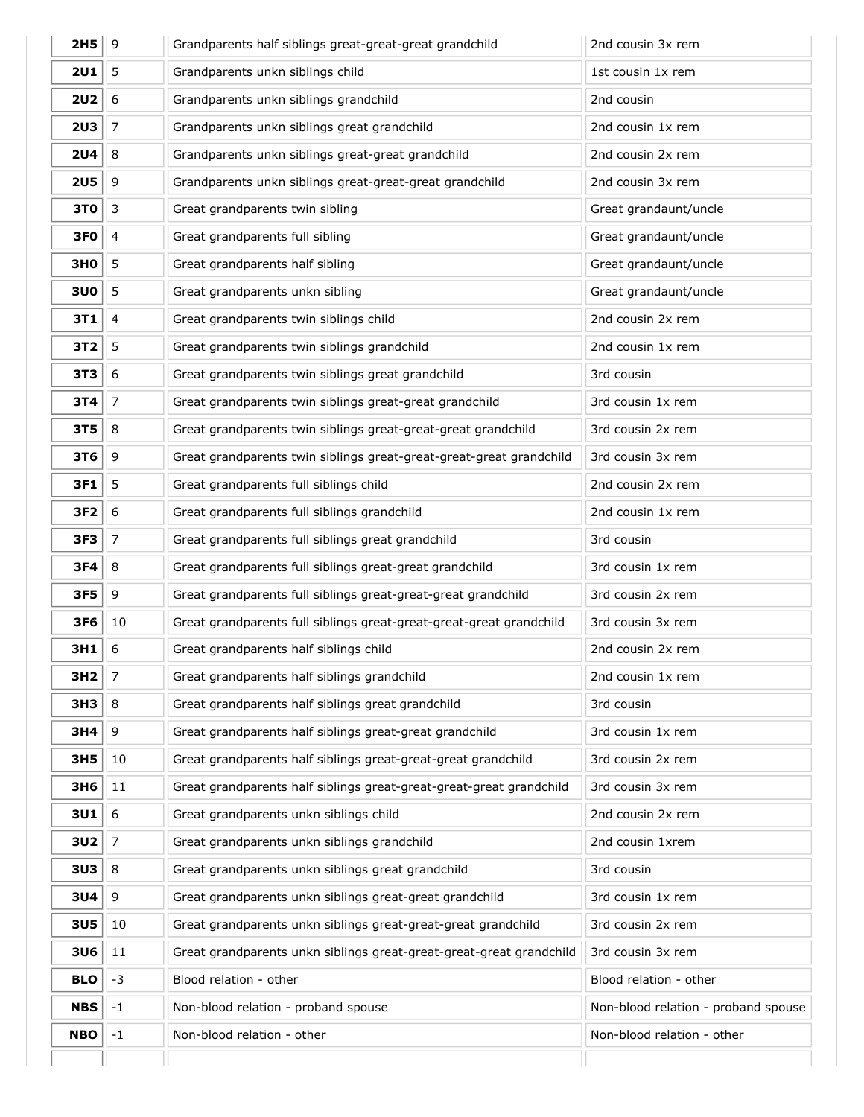| 2H5             | 9                | Grandparents half siblings great-great-great grandchild             | 2nd cousin 3x rem                   |
|-----------------|------------------|---------------------------------------------------------------------|-------------------------------------|
| 2U1             | 5                | Grandparents unkn siblings child                                    | 1st cousin 1x rem                   |
| 2U2             | $\boldsymbol{6}$ | Grandparents unkn siblings grandchild                               | 2nd cousin                          |
| <b>2U3</b>      | $\overline{7}$   | Grandparents unkn siblings great grandchild                         | 2nd cousin 1x rem                   |
| <b>2U4</b>      | 8                | Grandparents unkn siblings great-great grandchild                   | 2nd cousin 2x rem                   |
| 2U5             | 9                | Grandparents unkn siblings great-great-great grandchild             | 2nd cousin 3x rem                   |
| 3T0             | $\mathsf 3$      | Great grandparents twin sibling                                     | Great grandaunt/uncle               |
| 3FO             | $\overline{4}$   | Great grandparents full sibling                                     | Great grandaunt/uncle               |
| <b>3H0</b>      | 5                | Great grandparents half sibling                                     | Great grandaunt/uncle               |
| 3U0             | 5                | Great grandparents unkn sibling                                     | Great grandaunt/uncle               |
| 3T1             | $\overline{4}$   | Great grandparents twin siblings child                              | 2nd cousin 2x rem                   |
| 3T <sub>2</sub> | 5                | Great grandparents twin siblings grandchild                         | 2nd cousin 1x rem                   |
| 3T3             | $\boldsymbol{6}$ | Great grandparents twin siblings great grandchild                   | 3rd cousin                          |
| 3T4             | 7                | Great grandparents twin siblings great-great grandchild             | 3rd cousin 1x rem                   |
| 3T <sub>5</sub> | $\,8\,$          | Great grandparents twin siblings great-great-great grandchild       | 3rd cousin 2x rem                   |
| 3T6             | 9                | Great grandparents twin siblings great-great-great-great grandchild | 3rd cousin 3x rem                   |
| 3F1             | 5                | Great grandparents full siblings child                              | 2nd cousin 2x rem                   |
| 3F2             | 6                | Great grandparents full siblings grandchild                         | 2nd cousin 1x rem                   |
| 3F3             | $\overline{7}$   | Great grandparents full siblings great grandchild                   | 3rd cousin                          |
| 3F4             | $\,8\,$          | Great grandparents full siblings great-great grandchild             | 3rd cousin 1x rem                   |
| 3F5             | $\mathsf 9$      | Great grandparents full siblings great-great-great grandchild       | 3rd cousin 2x rem                   |
| 3F6             | 10               | Great grandparents full siblings great-great-great-great grandchild | 3rd cousin 3x rem                   |
| 3H1             | 6                | Great grandparents half siblings child                              | 2nd cousin 2x rem                   |
| 3H2             | 7                | Great grandparents half siblings grandchild                         | 2nd cousin 1x rem                   |
| 3H3             | $\,8\,$          | Great grandparents half siblings great grandchild                   | 3rd cousin                          |
| 3H4             | 9                | Great grandparents half siblings great-great grandchild             | 3rd cousin 1x rem                   |
| 3H5             | 10               | Great grandparents half siblings great-great-great grandchild       | 3rd cousin 2x rem                   |
| 3H6             | $11\,$           | Great grandparents half siblings great-great-great-great grandchild | 3rd cousin 3x rem                   |
| 3U1             | $\boldsymbol{6}$ | Great grandparents unkn siblings child                              | 2nd cousin 2x rem                   |
| 3U2             | $\parallel$ 7    | Great grandparents unkn siblings grandchild                         | 2nd cousin 1xrem                    |
| 3U3             | $\,8\,$          | Great grandparents unkn siblings great grandchild                   | 3rd cousin                          |
| 3U4             | $9$              | Great grandparents unkn siblings great-great grandchild             | 3rd cousin 1x rem                   |
| <b>3U5</b>      | 10               | Great grandparents unkn siblings great-great-great grandchild       | 3rd cousin 2x rem                   |
| 3U6             | $11\,$           | Great grandparents unkn siblings great-great-great-great grandchild | 3rd cousin 3x rem                   |
| <b>BLO</b>      | $-3$             | Blood relation - other                                              | Blood relation - other              |
| <b>NBS</b>      | $-1$             | Non-blood relation - proband spouse                                 | Non-blood relation - proband spouse |
|                 | $^{\rm -1}$      | Non-blood relation - other                                          | Non-blood relation - other          |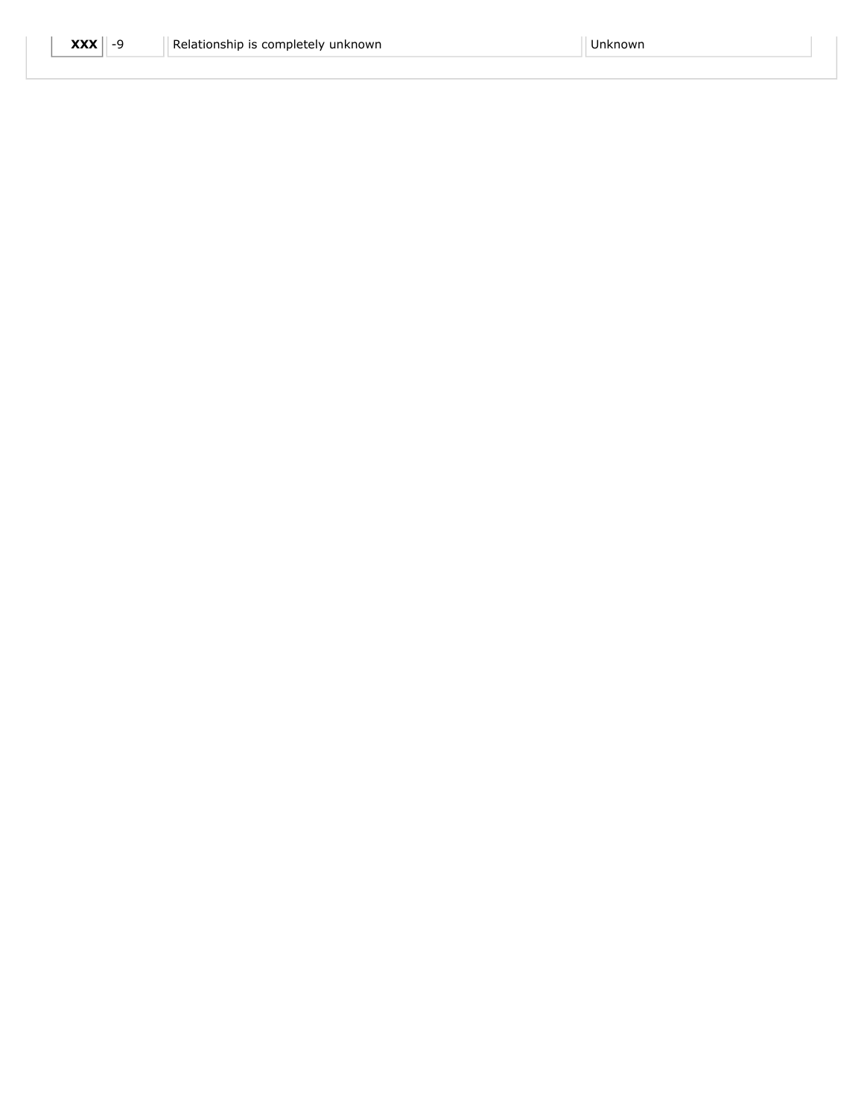| $\mathbf{XXX}$ -9<br>Relationship is completely unknown | Unknown |
|---------------------------------------------------------|---------|
|---------------------------------------------------------|---------|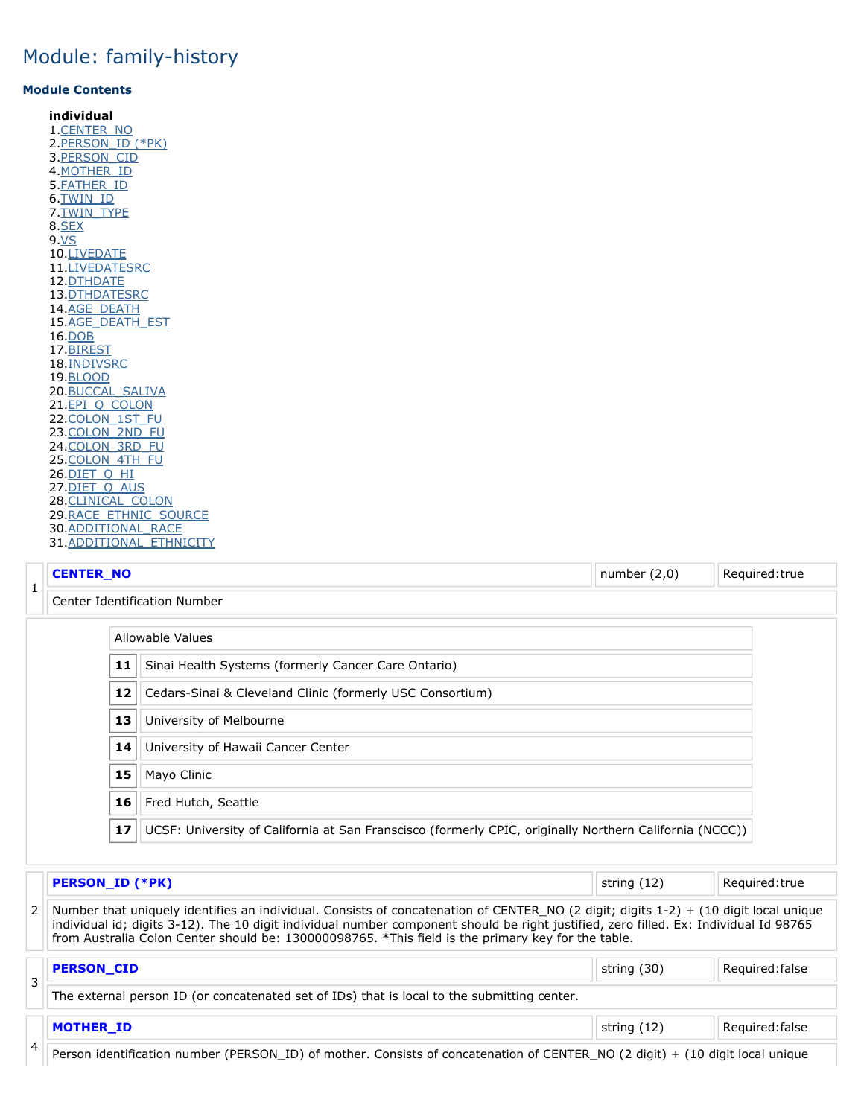#### <span id="page-9-4"></span>**Module Contents**

**individual** [.CENTER\\_NO](#page-9-0) [.PERSON\\_ID \(\\*PK\)](#page-9-1) [.PERSON\\_CID](#page-9-2) [.MOTHER\\_ID](#page-9-3) [.FATHER\\_ID](#page-10-0) [.TWIN\\_ID](#page-10-1) [.TWIN\\_TYPE](#page-10-2) [.SEX](#page-10-3) [.VS](#page-10-4) [.LIVEDATE](#page-9-4) [.LIVEDATESRC](#page-11-0) [.DTHDATE](#page-9-4) [.DTHDATESRC](#page-12-0) [.AGE\\_DEATH](#page-12-1) [.AGE\\_DEATH\\_EST](#page-12-2) [.DOB](#page-9-4) [.BIREST](#page-13-0) [.INDIVSRC](#page-14-0) [.BLOOD](#page-14-1) [.BUCCAL\\_SALIVA](#page-14-2) 21.EPI\_O\_COLON 22. COLON\_1ST\_FU 23. COLON 2ND FU [.COLON\\_3RD\\_FU](#page-15-2) 25. COLON 4TH FU [.DIET\\_Q\\_HI](#page-16-1) 27. DIET\_Q\_AUS 28. CLINICAL\_COLON [.RACE\\_ETHNIC\\_SOURCE](#page-17-0) [.ADDITIONAL\\_RACE](#page-17-1) 31. ADDITIONAL\_ETHNICITY

#### **CENTER\_NO** Required:true **CENTER\_NO number (2,0)** Required:true

<span id="page-9-0"></span>

Center Identification Number

# Allowable Values

| 11 | Sinai Health Systems (formerly Cancer Care Ontario)                                                     |
|----|---------------------------------------------------------------------------------------------------------|
| 12 | Cedars-Sinai & Cleveland Clinic (formerly USC Consortium)                                               |
| 13 | University of Melbourne                                                                                 |
| 14 | University of Hawaii Cancer Center                                                                      |
| 15 | Mayo Clinic                                                                                             |
| 16 | Fred Hutch, Seattle                                                                                     |
| 17 | UCSF: University of California at San Franscisco (formerly CPIC, originally Northern California (NCCC)) |

### <span id="page-9-1"></span>**PERSON\_ID (\*PK) PERSON\_ID (\*PK) Required:true**

 Number that uniquely identifies an individual. Consists of concatenation of CENTER\_NO (2 digit; digits 1-2) + (10 digit local unique individual id; digits 3-12). The 10 digit individual number component should be right justified, zero filled. Ex: Individual Id 98765 from Australia Colon Center should be: 130000098765. \*This field is the primary key for the table.

<span id="page-9-3"></span><span id="page-9-2"></span>

| $\overline{ }$ | Required: false<br><b>PERSON CID</b><br>string (30)                                         |             |                 |  |  |  |  |  |  |
|----------------|---------------------------------------------------------------------------------------------|-------------|-----------------|--|--|--|--|--|--|
| ر              | The external person ID (or concatenated set of IDs) that is local to the submitting center. |             |                 |  |  |  |  |  |  |
|                | <b>MOTHER ID</b>                                                                            | string (12) | Required: false |  |  |  |  |  |  |
| 4              |                                                                                             |             |                 |  |  |  |  |  |  |

Person identification number (PERSON\_ID) of mother. Consists of concatenation of CENTER\_NO (2 digit) + (10 digit local unique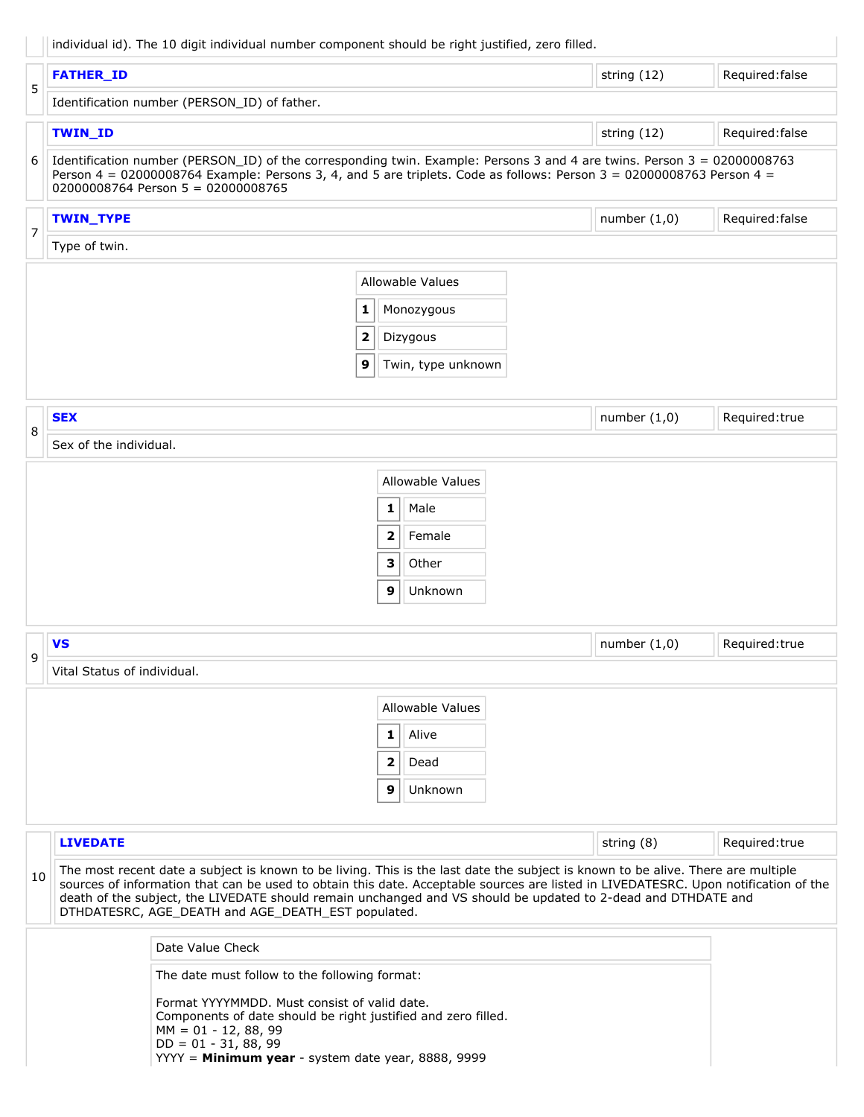|  |  | individual id). The 10 digit individual number component should be right justified, zero filled. |  |
|--|--|--------------------------------------------------------------------------------------------------|--|
|--|--|--------------------------------------------------------------------------------------------------|--|

<span id="page-10-4"></span><span id="page-10-3"></span><span id="page-10-2"></span><span id="page-10-1"></span><span id="page-10-0"></span>

|    |                             | individual id). The 10 digit individual number component should be right justined, 2010 mile                                                                                                                                                                                                                                                                                                                                                   |              |                         |                |                 |
|----|-----------------------------|------------------------------------------------------------------------------------------------------------------------------------------------------------------------------------------------------------------------------------------------------------------------------------------------------------------------------------------------------------------------------------------------------------------------------------------------|--------------|-------------------------|----------------|-----------------|
| 5  | <b>FATHER ID</b>            |                                                                                                                                                                                                                                                                                                                                                                                                                                                |              |                         | string (12)    | Required: false |
|    |                             | Identification number (PERSON_ID) of father.                                                                                                                                                                                                                                                                                                                                                                                                   |              |                         |                |                 |
|    | <b>TWIN_ID</b>              |                                                                                                                                                                                                                                                                                                                                                                                                                                                |              |                         | string (12)    | Required: false |
| 6  |                             | Identification number (PERSON_ID) of the corresponding twin. Example: Persons 3 and 4 are twins. Person 3 = 02000008763<br>Person 4 = 02000008764 Example: Persons 3, 4, and 5 are triplets. Code as follows: Person 3 = 02000008763 Person 4 =<br>02000008764 Person 5 = 02000008765                                                                                                                                                          |              |                         |                |                 |
|    | <b>TWIN_TYPE</b>            |                                                                                                                                                                                                                                                                                                                                                                                                                                                |              |                         | number $(1,0)$ | Required: false |
| 7  | Type of twin.               |                                                                                                                                                                                                                                                                                                                                                                                                                                                |              |                         |                |                 |
|    |                             |                                                                                                                                                                                                                                                                                                                                                                                                                                                |              | <b>Allowable Values</b> |                |                 |
|    |                             | 1                                                                                                                                                                                                                                                                                                                                                                                                                                              |              | Monozygous              |                |                 |
|    |                             | $\overline{\mathbf{2}}$                                                                                                                                                                                                                                                                                                                                                                                                                        |              | Dizygous                |                |                 |
|    |                             | 9                                                                                                                                                                                                                                                                                                                                                                                                                                              |              | Twin, type unknown      |                |                 |
|    |                             |                                                                                                                                                                                                                                                                                                                                                                                                                                                |              |                         |                |                 |
| 8  | <b>SEX</b>                  |                                                                                                                                                                                                                                                                                                                                                                                                                                                |              |                         | number $(1,0)$ | Required:true   |
|    | Sex of the individual.      |                                                                                                                                                                                                                                                                                                                                                                                                                                                |              |                         |                |                 |
|    |                             |                                                                                                                                                                                                                                                                                                                                                                                                                                                |              | <b>Allowable Values</b> |                |                 |
|    |                             |                                                                                                                                                                                                                                                                                                                                                                                                                                                | $\mathbf{1}$ | Male                    |                |                 |
|    |                             |                                                                                                                                                                                                                                                                                                                                                                                                                                                | 2            | Female                  |                |                 |
|    |                             |                                                                                                                                                                                                                                                                                                                                                                                                                                                | 3            | Other                   |                |                 |
|    |                             |                                                                                                                                                                                                                                                                                                                                                                                                                                                | 9            | Unknown                 |                |                 |
|    |                             |                                                                                                                                                                                                                                                                                                                                                                                                                                                |              |                         |                |                 |
| 9  | <b>VS</b>                   |                                                                                                                                                                                                                                                                                                                                                                                                                                                |              |                         | number $(1,0)$ | Required:true   |
|    | Vital Status of individual. |                                                                                                                                                                                                                                                                                                                                                                                                                                                |              |                         |                |                 |
|    |                             |                                                                                                                                                                                                                                                                                                                                                                                                                                                |              | <b>Allowable Values</b> |                |                 |
|    |                             |                                                                                                                                                                                                                                                                                                                                                                                                                                                | $1\vert$     | Alive                   |                |                 |
|    |                             |                                                                                                                                                                                                                                                                                                                                                                                                                                                | 2            | Dead                    |                |                 |
|    |                             |                                                                                                                                                                                                                                                                                                                                                                                                                                                | 9            | Unknown                 |                |                 |
|    |                             |                                                                                                                                                                                                                                                                                                                                                                                                                                                |              |                         |                |                 |
|    | <b>LIVEDATE</b>             |                                                                                                                                                                                                                                                                                                                                                                                                                                                |              |                         | string (8)     | Required:true   |
| 10 |                             | The most recent date a subject is known to be living. This is the last date the subject is known to be alive. There are multiple<br>sources of information that can be used to obtain this date. Acceptable sources are listed in LIVEDATESRC. Upon notification of the<br>death of the subject, the LIVEDATE should remain unchanged and VS should be updated to 2-dead and DTHDATE and<br>DTHDATESRC, AGE_DEATH and AGE_DEATH_EST populated. |              |                         |                |                 |
|    |                             | Date Value Check                                                                                                                                                                                                                                                                                                                                                                                                                               |              |                         |                |                 |
|    |                             | The date must follow to the following format:                                                                                                                                                                                                                                                                                                                                                                                                  |              |                         |                |                 |
|    |                             | Format YYYYMMDD. Must consist of valid date.<br>Components of date should be right justified and zero filled.<br>$MM = 01 - 12, 88, 99$<br>$DD = 01 - 31, 88, 99$<br>YYYY = Minimum year - system date year, 8888, 9999                                                                                                                                                                                                                        |              |                         |                |                 |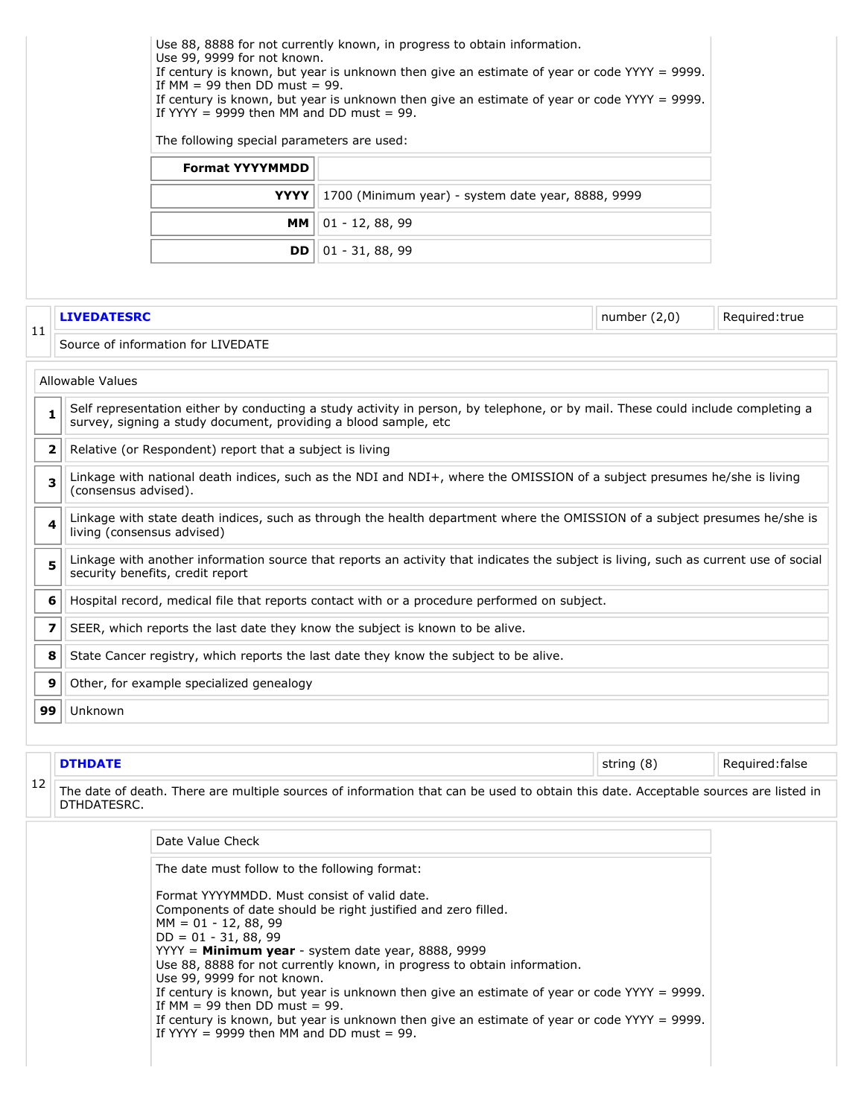<span id="page-11-0"></span>

|    |                           | Use 99, 9999 for not known.<br>If $MM = 99$ then DD must = 99.<br>If YYYY = 9999 then MM and DD must = 99. | Use 88, 8888 for not currently known, in progress to obtain information.<br>If century is known, but year is unknown then give an estimate of year or code $YYYY = 9999$ .<br>If century is known, but year is unknown then give an estimate of year or code YYYY = 9999. |                |                 |
|----|---------------------------|------------------------------------------------------------------------------------------------------------|---------------------------------------------------------------------------------------------------------------------------------------------------------------------------------------------------------------------------------------------------------------------------|----------------|-----------------|
|    |                           | The following special parameters are used:                                                                 |                                                                                                                                                                                                                                                                           |                |                 |
|    |                           | <b>Format YYYYMMDD</b>                                                                                     |                                                                                                                                                                                                                                                                           |                |                 |
|    |                           | YYYY                                                                                                       | 1700 (Minimum year) - system date year, 8888, 9999                                                                                                                                                                                                                        |                |                 |
|    |                           | $01 - 12, 88, 99$<br>MМ                                                                                    |                                                                                                                                                                                                                                                                           |                |                 |
|    |                           | DD                                                                                                         | $01 - 31, 88, 99$                                                                                                                                                                                                                                                         |                |                 |
|    |                           |                                                                                                            |                                                                                                                                                                                                                                                                           |                |                 |
|    | <b>LIVEDATESRC</b>        |                                                                                                            |                                                                                                                                                                                                                                                                           | number $(2,0)$ | Required:true   |
| 11 |                           | Source of information for LIVEDATE                                                                         |                                                                                                                                                                                                                                                                           |                |                 |
|    | Allowable Values          |                                                                                                            |                                                                                                                                                                                                                                                                           |                |                 |
|    | 1                         | survey, signing a study document, providing a blood sample, etc                                            | Self representation either by conducting a study activity in person, by telephone, or by mail. These could include completing a                                                                                                                                           |                |                 |
|    | 2                         | Relative (or Respondent) report that a subject is living                                                   |                                                                                                                                                                                                                                                                           |                |                 |
|    | 3<br>(consensus advised). |                                                                                                            | Linkage with national death indices, such as the NDI and NDI+, where the OMISSION of a subject presumes he/she is living                                                                                                                                                  |                |                 |
|    | 4                         | living (consensus advised)                                                                                 | Linkage with state death indices, such as through the health department where the OMISSION of a subject presumes he/she is                                                                                                                                                |                |                 |
|    | 5                         | security benefits, credit report                                                                           | Linkage with another information source that reports an activity that indicates the subject is living, such as current use of social                                                                                                                                      |                |                 |
|    | 6                         |                                                                                                            | Hospital record, medical file that reports contact with or a procedure performed on subject.                                                                                                                                                                              |                |                 |
|    | 7                         |                                                                                                            | SEER, which reports the last date they know the subject is known to be alive.                                                                                                                                                                                             |                |                 |
|    | 8                         |                                                                                                            | State Cancer registry, which reports the last date they know the subject to be alive.                                                                                                                                                                                     |                |                 |
|    | 9                         | Other, for example specialized genealogy                                                                   |                                                                                                                                                                                                                                                                           |                |                 |
| 99 | Unknown                   |                                                                                                            |                                                                                                                                                                                                                                                                           |                |                 |
|    |                           |                                                                                                            |                                                                                                                                                                                                                                                                           |                |                 |
|    | <b>DTHDATE</b>            |                                                                                                            | string (8)                                                                                                                                                                                                                                                                |                | Required: false |
| 12 | DTHDATESRC.               |                                                                                                            | The date of death. There are multiple sources of information that can be used to obtain this date. Acceptable sources are listed in                                                                                                                                       |                |                 |
|    |                           | Date Value Check                                                                                           |                                                                                                                                                                                                                                                                           |                |                 |
|    |                           | The date must follow to the following format:                                                              |                                                                                                                                                                                                                                                                           |                |                 |
|    |                           | Format YYYYMMDD. Must consist of valid date.                                                               | Components of date should be right justified and zero filled.                                                                                                                                                                                                             |                |                 |
|    |                           | $MM = 01 - 12, 88, 99$<br>$DD = 01 - 31, 88, 99$                                                           |                                                                                                                                                                                                                                                                           |                |                 |
|    |                           |                                                                                                            | YYYY = Minimum year - system date year, 8888, 9999                                                                                                                                                                                                                        |                |                 |
|    |                           | Use 99, 9999 for not known.                                                                                | Use 88, 8888 for not currently known, in progress to obtain information.                                                                                                                                                                                                  |                |                 |
|    |                           | If $MM = 99$ then DD must = 99.                                                                            | If century is known, but year is unknown then give an estimate of year or code $YYYY = 9999$ .                                                                                                                                                                            |                |                 |
|    |                           | If YYYY = 9999 then MM and DD must = 99.                                                                   | If century is known, but year is unknown then give an estimate of year or code YYYY = 9999.                                                                                                                                                                               |                |                 |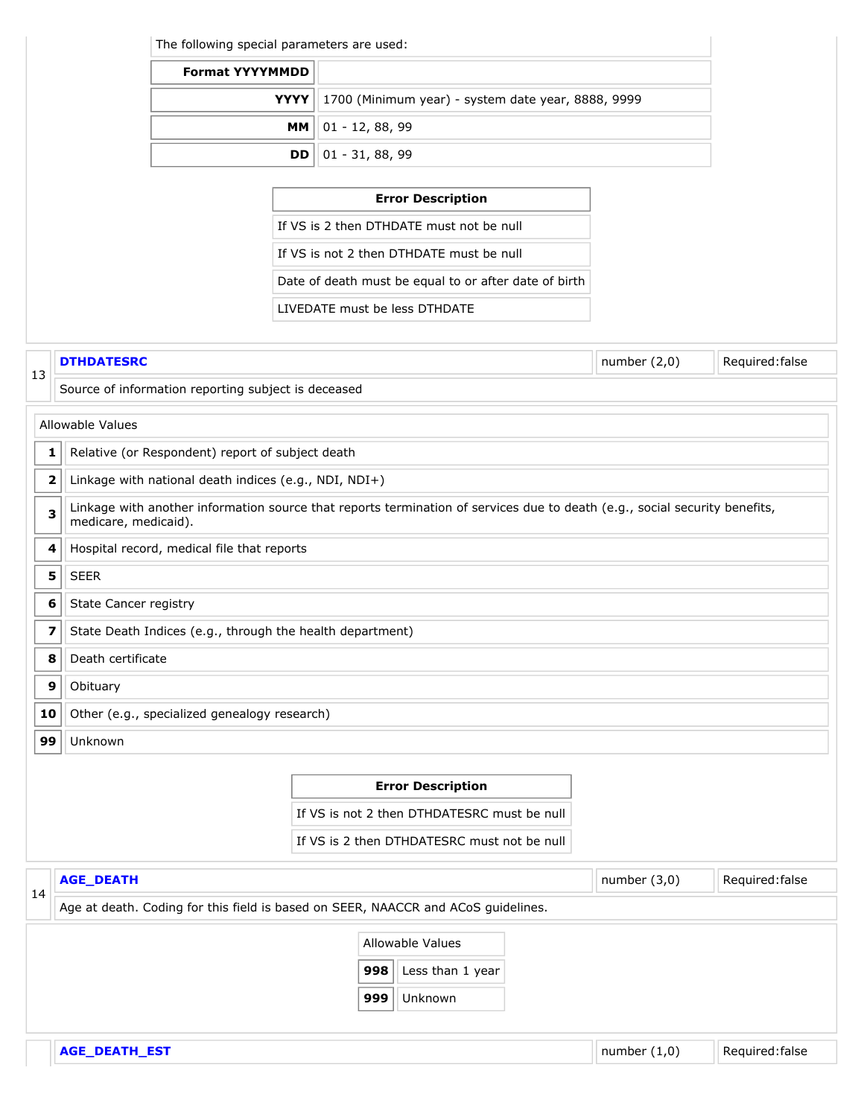The following special parameters are used:

| <b>Format YYYYMMDD</b> |                                                                  |
|------------------------|------------------------------------------------------------------|
|                        | <b>YYYY</b>   1700 (Minimum year) - system date year, 8888, 9999 |
|                        | $MM    01 - 12, 88, 99$                                          |
|                        | <b>DD</b> $\vert$ 01 - 31, 88, 99                                |

|                                                       | <b>Error Description</b> |
|-------------------------------------------------------|--------------------------|
| If VS is 2 then DTHDATE must not be null              |                          |
| If VS is not 2 then DTHDATF must be null              |                          |
| Date of death must be equal to or after date of birth |                          |
| LIVEDATE must be less DTHDATE                         |                          |

### <span id="page-12-2"></span><span id="page-12-1"></span><span id="page-12-0"></span>13 **DTHDATESRC** Required:false Source of information reporting subject is deceased Allowable Values **1** | Relative (or Respondent) report of subject death **2** Linkage with national death indices (e.g., NDI, NDI+) **3** Linkage with another information source that reports termination of services due to death (e.g., social security benefits, medicare, medicaid). **4** | Hospital record, medical file that reports  $5$  SEER **6** State Cancer registry **7** State Death Indices (e.g., through the health department) **8** | Death certificate **9** | Obituary **10** Other (e.g., specialized genealogy research) **99** Unknown **Error Description** If VS is not 2 then DTHDATESRC must be null If VS is 2 then DTHDATESRC must not be null 14 **AGE\_DEATH Number (3,0)** Required:false Age at death. Coding for this field is based on SEER, NAACCR and ACoS guidelines. Allowable Values **998** Less than 1 year **999** Unknown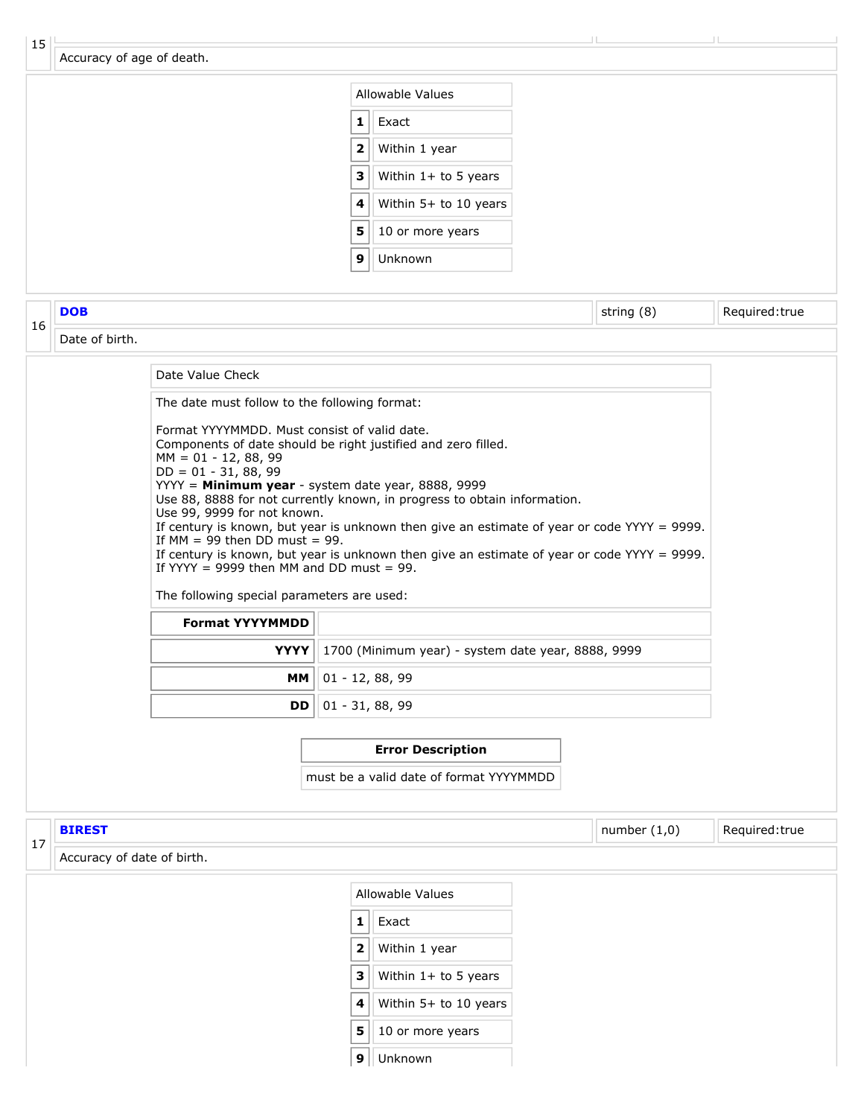| Required:true                                                                                                                                                                                                  |
|----------------------------------------------------------------------------------------------------------------------------------------------------------------------------------------------------------------|
|                                                                                                                                                                                                                |
|                                                                                                                                                                                                                |
|                                                                                                                                                                                                                |
|                                                                                                                                                                                                                |
| string (8)<br>If century is known, but year is unknown then give an estimate of year or code $YYYY = 9999$ .<br>If century is known, but year is unknown then give an estimate of year or code $YYYY = 9999$ . |

| <b>Format YYYYMMDD</b> |                                                                  |  |  |  |  |
|------------------------|------------------------------------------------------------------|--|--|--|--|
|                        | <b>YYYY</b>   1700 (Minimum year) - system date year, 8888, 9999 |  |  |  |  |
|                        | $MM    01 - 12, 88, 99$                                          |  |  |  |  |
|                        | <b>DD</b> $\vert$ 01 - 31, 88, 99                                |  |  |  |  |

#### **Error Description**

must be a valid date of format YYYYMMDD

<span id="page-13-0"></span>

| 17 | number $(1,0)$<br>Required: true<br><b>BIREST</b> |                         |                       |  |  |  |  |  |
|----|---------------------------------------------------|-------------------------|-----------------------|--|--|--|--|--|
|    | Accuracy of date of birth.                        |                         |                       |  |  |  |  |  |
|    |                                                   |                         | Allowable Values      |  |  |  |  |  |
|    |                                                   | 1                       | Exact                 |  |  |  |  |  |
|    |                                                   | 2 <sup>1</sup>          | Within 1 year         |  |  |  |  |  |
|    |                                                   | 3                       | Within 1+ to 5 years  |  |  |  |  |  |
|    |                                                   | $\overline{\mathbf{4}}$ | Within 5+ to 10 years |  |  |  |  |  |
|    |                                                   | 5                       | 10 or more years      |  |  |  |  |  |
|    |                                                   | 9 <sup>1</sup>          | Unknown               |  |  |  |  |  |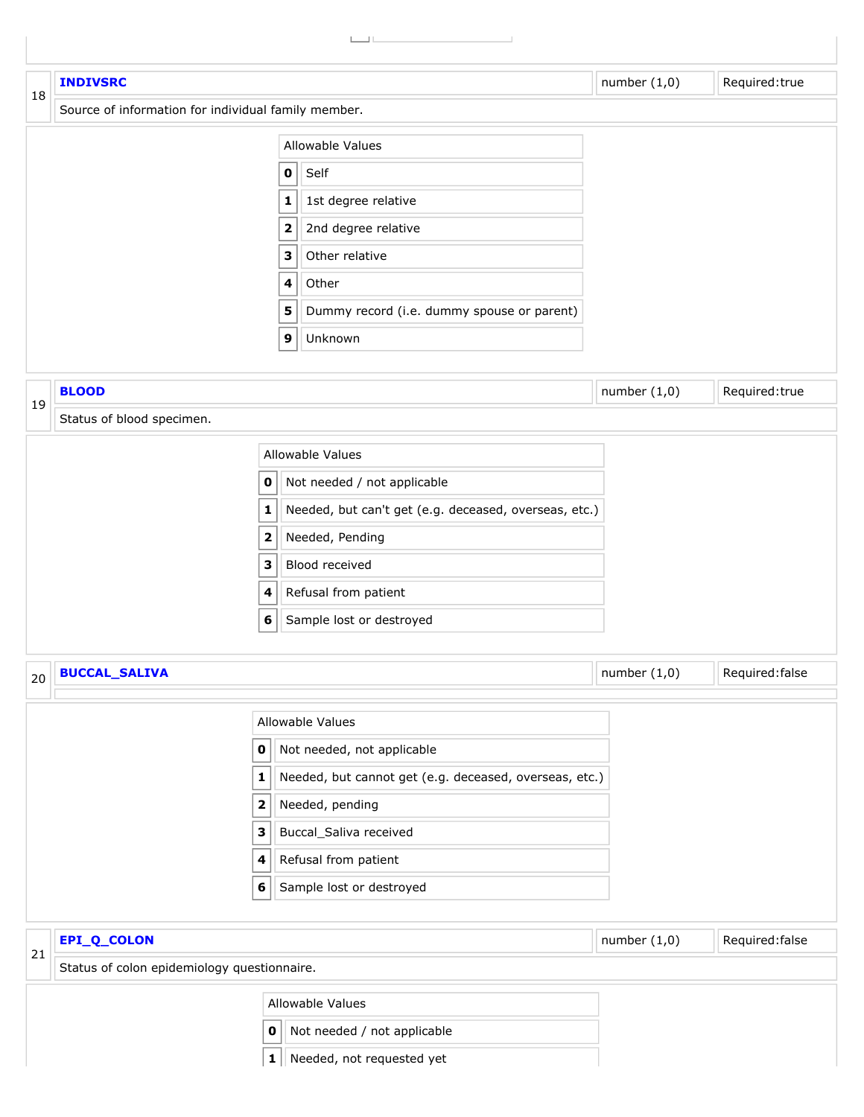<span id="page-14-3"></span><span id="page-14-2"></span><span id="page-14-1"></span><span id="page-14-0"></span>

|    | <b>INDIVSRC</b>                                     |                  |                                                                           | number $(1,0)$ | Required:true               |
|----|-----------------------------------------------------|------------------|---------------------------------------------------------------------------|----------------|-----------------------------|
| 18 | Source of information for individual family member. |                  |                                                                           |                |                             |
|    |                                                     |                  | Allowable Values                                                          |                |                             |
|    |                                                     | $\mathbf 0$      | Self                                                                      |                |                             |
|    |                                                     | $\mathbf 1$      | 1st degree relative                                                       |                |                             |
|    |                                                     | $\mathbf{2}$     | 2nd degree relative                                                       |                |                             |
|    |                                                     | 3                | Other relative                                                            |                |                             |
|    |                                                     | 4                | Other                                                                     |                |                             |
|    |                                                     | 5                | Dummy record (i.e. dummy spouse or parent)                                |                |                             |
|    |                                                     | $\boldsymbol{9}$ | Unknown                                                                   |                |                             |
|    |                                                     |                  |                                                                           |                |                             |
| 19 | <b>BLOOD</b>                                        |                  |                                                                           | number $(1,0)$ | Required: true              |
|    | Status of blood specimen.                           |                  |                                                                           |                |                             |
|    |                                                     |                  | Allowable Values                                                          |                |                             |
|    |                                                     | 0                | Not needed / not applicable                                               |                |                             |
|    |                                                     | 1                | Needed, but can't get (e.g. deceased, overseas, etc.)                     |                |                             |
|    |                                                     | 2                | Needed, Pending                                                           |                |                             |
|    |                                                     | 3                | Blood received                                                            |                |                             |
|    |                                                     | 4                | Refusal from patient                                                      |                |                             |
|    |                                                     | 6                | Sample lost or destroyed                                                  |                |                             |
|    |                                                     |                  |                                                                           |                |                             |
| 20 | <b>BUCCAL_SALIVA</b>                                |                  |                                                                           | number $(1,0)$ | $\parallel$ Required: false |
|    |                                                     |                  |                                                                           |                |                             |
|    |                                                     |                  | Allowable Values                                                          |                |                             |
|    | $\mathbf 0$                                         |                  | Not needed, not applicable                                                |                |                             |
|    | $\mathbf{1}$<br>$\mathbf 2$                         |                  | Needed, but cannot get (e.g. deceased, overseas, etc.)<br>Needed, pending |                |                             |
|    | 3                                                   |                  | Buccal_Saliva received                                                    |                |                             |
|    | 4                                                   |                  | Refusal from patient                                                      |                |                             |
|    | 6                                                   |                  | Sample lost or destroyed                                                  |                |                             |
|    |                                                     |                  |                                                                           |                |                             |
|    | EPI_Q_COLON                                         |                  |                                                                           | number $(1,0)$ | Required: false             |
| 21 | Status of colon epidemiology questionnaire.         |                  |                                                                           |                |                             |
|    |                                                     |                  | Allowable Values                                                          |                |                             |
|    |                                                     | 0                | Not needed / not applicable                                               |                |                             |
|    |                                                     | $\mathbf{1}$     | Needed, not requested yet                                                 |                |                             |
|    |                                                     |                  |                                                                           |                |                             |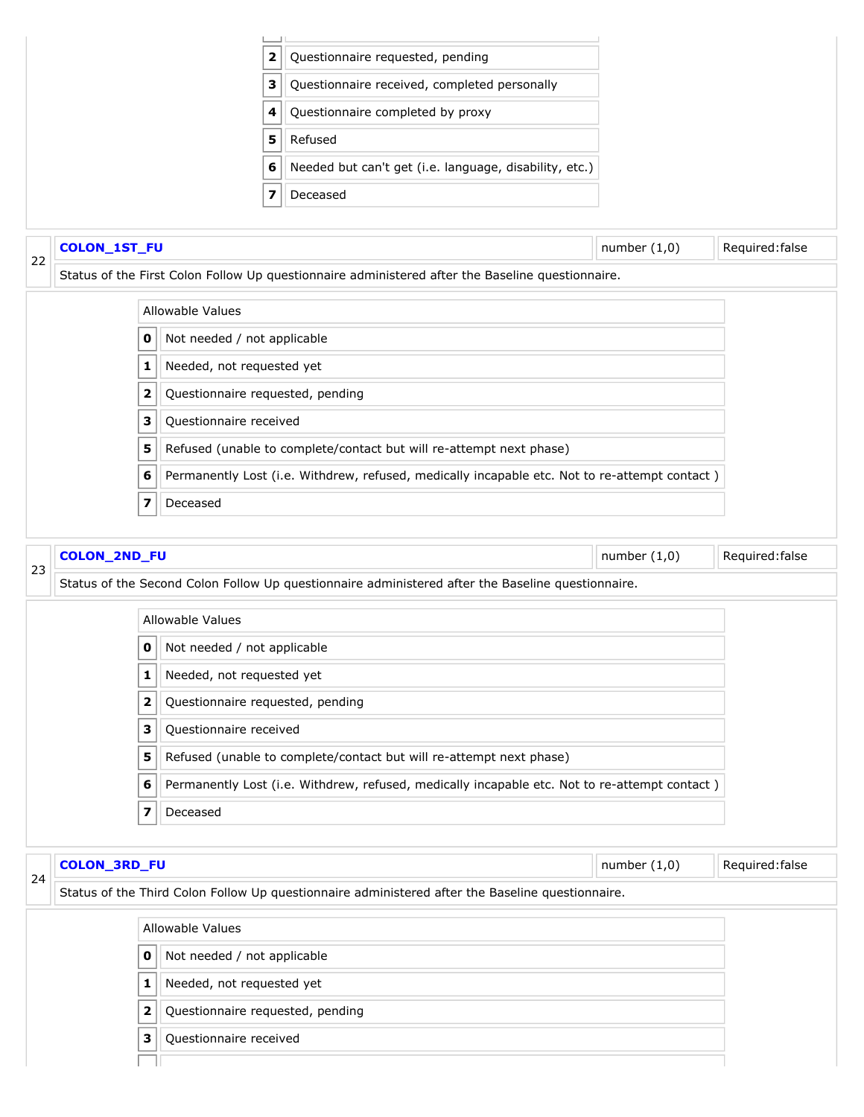<span id="page-15-0"></span>

<span id="page-15-2"></span><span id="page-15-1"></span>

|                | Allowable Values                 |  |  |  |  |  |
|----------------|----------------------------------|--|--|--|--|--|
| 0              | Not needed / not applicable      |  |  |  |  |  |
|                | Needed, not requested yet        |  |  |  |  |  |
| 2 <sup>1</sup> | Questionnaire requested, pending |  |  |  |  |  |
| з              | Questionnaire received           |  |  |  |  |  |
|                |                                  |  |  |  |  |  |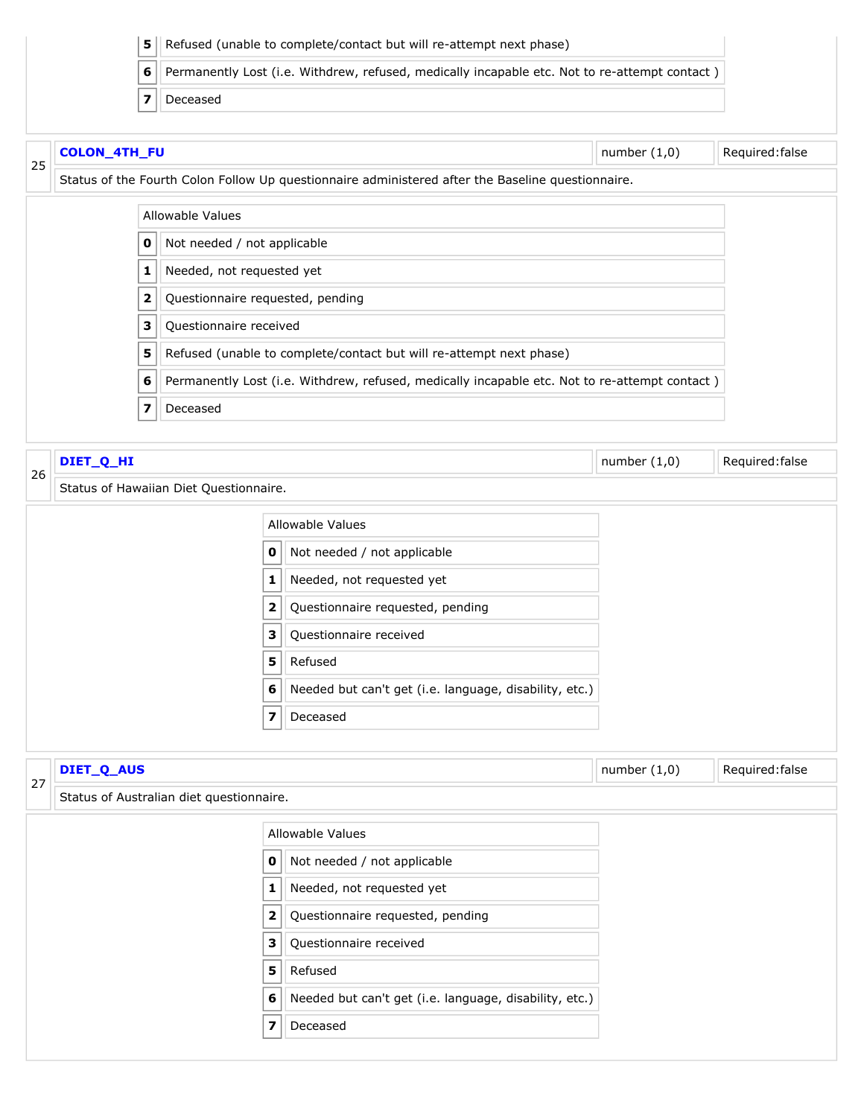<span id="page-16-1"></span><span id="page-16-0"></span>

|                           |                                          | 5 |                                  |                                                                     | Refused (unable to complete/contact but will re-attempt next phase)                               |                |                 |  |  |
|---------------------------|------------------------------------------|---|----------------------------------|---------------------------------------------------------------------|---------------------------------------------------------------------------------------------------|----------------|-----------------|--|--|
|                           |                                          | 6 |                                  |                                                                     | Permanently Lost (i.e. Withdrew, refused, medically incapable etc. Not to re-attempt contact)     |                |                 |  |  |
|                           |                                          | 7 | Deceased                         |                                                                     |                                                                                                   |                |                 |  |  |
| <b>COLON_4TH_FU</b><br>25 |                                          |   |                                  |                                                                     |                                                                                                   | number $(1,0)$ | Required: false |  |  |
|                           |                                          |   |                                  |                                                                     | Status of the Fourth Colon Follow Up questionnaire administered after the Baseline questionnaire. |                |                 |  |  |
|                           |                                          |   | Allowable Values                 |                                                                     |                                                                                                   |                |                 |  |  |
|                           |                                          | 0 | Not needed / not applicable      |                                                                     |                                                                                                   |                |                 |  |  |
|                           |                                          | 1 | Needed, not requested yet        |                                                                     |                                                                                                   |                |                 |  |  |
|                           |                                          | 2 | Questionnaire requested, pending |                                                                     |                                                                                                   |                |                 |  |  |
|                           |                                          | 3 | Questionnaire received           |                                                                     |                                                                                                   |                |                 |  |  |
|                           |                                          | 5 |                                  | Refused (unable to complete/contact but will re-attempt next phase) |                                                                                                   |                |                 |  |  |
|                           |                                          | 6 |                                  |                                                                     | Permanently Lost (i.e. Withdrew, refused, medically incapable etc. Not to re-attempt contact)     |                |                 |  |  |
|                           |                                          | 7 | Deceased                         |                                                                     |                                                                                                   |                |                 |  |  |
|                           | DIET_Q_HI                                |   |                                  |                                                                     |                                                                                                   | number $(1,0)$ | Required: false |  |  |
| 26                        | Status of Hawaiian Diet Questionnaire.   |   |                                  |                                                                     |                                                                                                   |                |                 |  |  |
|                           |                                          |   |                                  |                                                                     | Allowable Values                                                                                  |                |                 |  |  |
|                           |                                          |   | 0                                |                                                                     | Not needed / not applicable                                                                       |                |                 |  |  |
|                           |                                          |   | 1                                |                                                                     | Needed, not requested yet                                                                         |                |                 |  |  |
|                           |                                          |   | 2                                |                                                                     | Questionnaire requested, pending                                                                  |                |                 |  |  |
|                           |                                          |   | З                                |                                                                     | Questionnaire received                                                                            |                |                 |  |  |
|                           |                                          |   | 5                                |                                                                     | Refused                                                                                           |                |                 |  |  |
|                           |                                          |   | 6                                |                                                                     | Needed but can't get (i.e. language, disability, etc.)                                            |                |                 |  |  |
|                           |                                          |   | 7                                |                                                                     | Deceased                                                                                          |                |                 |  |  |
|                           |                                          |   |                                  |                                                                     |                                                                                                   |                |                 |  |  |
| 27                        | number $(1,0)$<br>DIET_Q_AUS             |   |                                  | Required: false                                                     |                                                                                                   |                |                 |  |  |
|                           | Status of Australian diet questionnaire. |   |                                  |                                                                     |                                                                                                   |                |                 |  |  |
|                           |                                          |   |                                  |                                                                     | Allowable Values                                                                                  |                |                 |  |  |
|                           |                                          |   | 0                                |                                                                     | Not needed / not applicable                                                                       |                |                 |  |  |
|                           |                                          |   | 1                                |                                                                     | Needed, not requested yet                                                                         |                |                 |  |  |
|                           |                                          |   | 2 <sup>1</sup>                   |                                                                     | Questionnaire requested, pending                                                                  |                |                 |  |  |

<span id="page-16-2"></span>Questionnaire received

Refused

Needed but can't get (i.e. language, disability, etc.)

<span id="page-16-3"></span>Deceased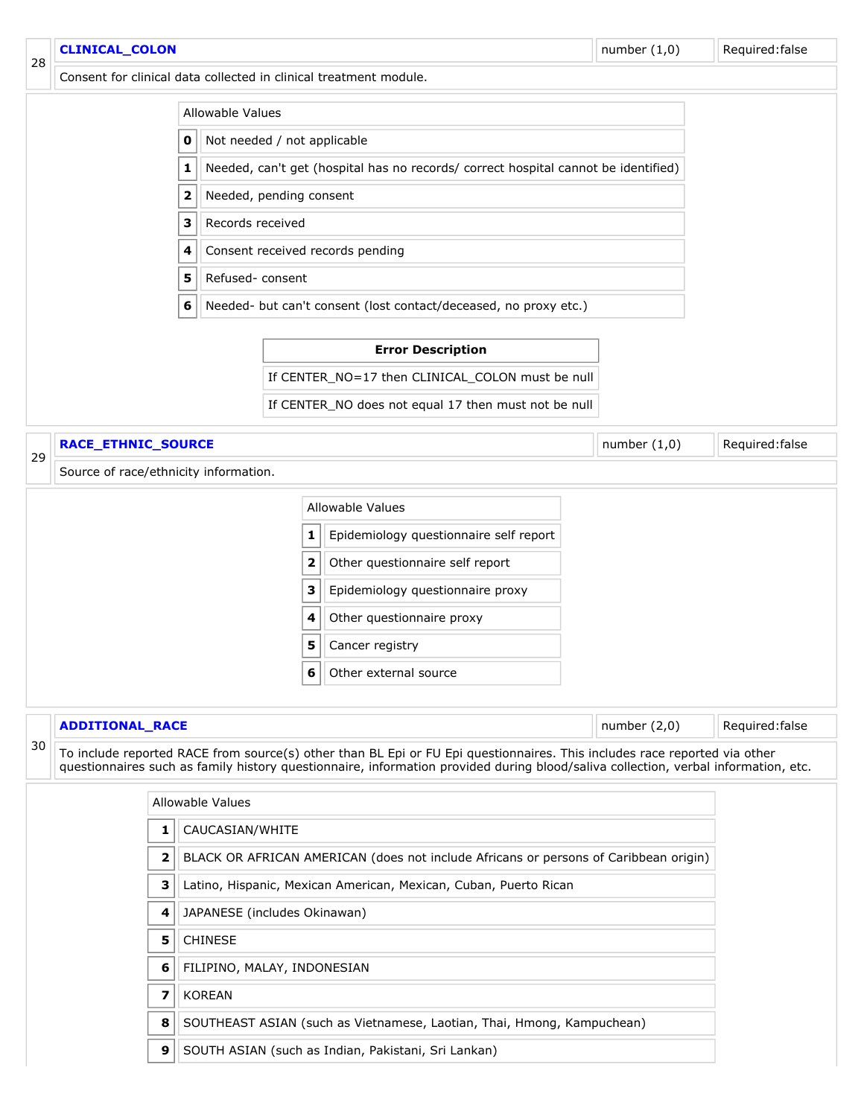<span id="page-17-1"></span><span id="page-17-0"></span>

|                                                                                                                                                                                                                                                                       | <b>CLINICAL_COLON</b>                                                                                           |                                                                                    | number $(1,0)$<br>Required: false |   |                                                                        |                |                 |  |
|-----------------------------------------------------------------------------------------------------------------------------------------------------------------------------------------------------------------------------------------------------------------------|-----------------------------------------------------------------------------------------------------------------|------------------------------------------------------------------------------------|-----------------------------------|---|------------------------------------------------------------------------|----------------|-----------------|--|
| 28                                                                                                                                                                                                                                                                    |                                                                                                                 |                                                                                    |                                   |   | Consent for clinical data collected in clinical treatment module.      |                |                 |  |
|                                                                                                                                                                                                                                                                       |                                                                                                                 |                                                                                    | Allowable Values                  |   |                                                                        |                |                 |  |
|                                                                                                                                                                                                                                                                       |                                                                                                                 |                                                                                    |                                   |   |                                                                        |                |                 |  |
|                                                                                                                                                                                                                                                                       |                                                                                                                 | Needed, can't get (hospital has no records/ correct hospital cannot be identified) |                                   |   |                                                                        |                |                 |  |
|                                                                                                                                                                                                                                                                       |                                                                                                                 | 2                                                                                  | Needed, pending consent           |   |                                                                        |                |                 |  |
|                                                                                                                                                                                                                                                                       |                                                                                                                 | з                                                                                  | Records received                  |   |                                                                        |                |                 |  |
|                                                                                                                                                                                                                                                                       |                                                                                                                 | 4                                                                                  |                                   |   | Consent received records pending                                       |                |                 |  |
|                                                                                                                                                                                                                                                                       |                                                                                                                 | 5                                                                                  | Refused-consent                   |   |                                                                        |                |                 |  |
|                                                                                                                                                                                                                                                                       |                                                                                                                 | 6                                                                                  |                                   |   | Needed- but can't consent (lost contact/deceased, no proxy etc.)       |                |                 |  |
|                                                                                                                                                                                                                                                                       |                                                                                                                 |                                                                                    |                                   |   |                                                                        |                |                 |  |
|                                                                                                                                                                                                                                                                       |                                                                                                                 |                                                                                    |                                   |   | <b>Error Description</b>                                               |                |                 |  |
|                                                                                                                                                                                                                                                                       |                                                                                                                 |                                                                                    |                                   |   | If CENTER_NO=17 then CLINICAL_COLON must be null                       |                |                 |  |
|                                                                                                                                                                                                                                                                       |                                                                                                                 |                                                                                    |                                   |   | If CENTER_NO does not equal 17 then must not be null                   |                |                 |  |
| 29                                                                                                                                                                                                                                                                    | RACE_ETHNIC_SOURCE                                                                                              |                                                                                    |                                   |   |                                                                        | number $(1,0)$ | Required: false |  |
|                                                                                                                                                                                                                                                                       | Source of race/ethnicity information.                                                                           |                                                                                    |                                   |   |                                                                        |                |                 |  |
|                                                                                                                                                                                                                                                                       |                                                                                                                 |                                                                                    |                                   |   | Allowable Values                                                       |                |                 |  |
|                                                                                                                                                                                                                                                                       |                                                                                                                 |                                                                                    |                                   | 1 | Epidemiology questionnaire self report                                 |                |                 |  |
|                                                                                                                                                                                                                                                                       |                                                                                                                 |                                                                                    |                                   | 2 | Other questionnaire self report                                        |                |                 |  |
|                                                                                                                                                                                                                                                                       |                                                                                                                 |                                                                                    |                                   | з | Epidemiology questionnaire proxy                                       |                |                 |  |
|                                                                                                                                                                                                                                                                       |                                                                                                                 |                                                                                    |                                   |   | Other questionnaire proxy                                              |                |                 |  |
|                                                                                                                                                                                                                                                                       |                                                                                                                 |                                                                                    |                                   | 5 | Cancer registry                                                        |                |                 |  |
|                                                                                                                                                                                                                                                                       |                                                                                                                 |                                                                                    |                                   | 6 | Other external source                                                  |                |                 |  |
|                                                                                                                                                                                                                                                                       |                                                                                                                 |                                                                                    |                                   |   |                                                                        |                |                 |  |
|                                                                                                                                                                                                                                                                       | <b>ADDITIONAL RACE</b>                                                                                          |                                                                                    |                                   |   |                                                                        | number $(2,0)$ | Required: false |  |
| 30<br>To include reported RACE from source(s) other than BL Epi or FU Epi questionnaires. This includes race reported via other<br>questionnaires such as family history questionnaire, information provided during blood/saliva collection, verbal information, etc. |                                                                                                                 |                                                                                    |                                   |   |                                                                        |                |                 |  |
|                                                                                                                                                                                                                                                                       |                                                                                                                 |                                                                                    | Allowable Values                  |   |                                                                        |                |                 |  |
|                                                                                                                                                                                                                                                                       |                                                                                                                 | 1                                                                                  | CAUCASIAN/WHITE                   |   |                                                                        |                |                 |  |
|                                                                                                                                                                                                                                                                       | BLACK OR AFRICAN AMERICAN (does not include Africans or persons of Caribbean origin)<br>$\overline{\mathbf{2}}$ |                                                                                    |                                   |   |                                                                        |                |                 |  |
|                                                                                                                                                                                                                                                                       | 3<br>Latino, Hispanic, Mexican American, Mexican, Cuban, Puerto Rican                                           |                                                                                    |                                   |   |                                                                        |                |                 |  |
|                                                                                                                                                                                                                                                                       |                                                                                                                 | 4                                                                                  | JAPANESE (includes Okinawan)      |   |                                                                        |                |                 |  |
|                                                                                                                                                                                                                                                                       |                                                                                                                 | 5                                                                                  | <b>CHINESE</b>                    |   |                                                                        |                |                 |  |
|                                                                                                                                                                                                                                                                       |                                                                                                                 | 6                                                                                  | FILIPINO, MALAY, INDONESIAN       |   |                                                                        |                |                 |  |
|                                                                                                                                                                                                                                                                       |                                                                                                                 | $\overline{\mathbf{z}}$                                                            | <b>KOREAN</b>                     |   |                                                                        |                |                 |  |
|                                                                                                                                                                                                                                                                       |                                                                                                                 | 8                                                                                  |                                   |   | SOUTHEAST ASIAN (such as Vietnamese, Laotian, Thai, Hmong, Kampuchean) |                |                 |  |
|                                                                                                                                                                                                                                                                       |                                                                                                                 | 9                                                                                  |                                   |   | SOUTH ASIAN (such as Indian, Pakistani, Sri Lankan)                    |                |                 |  |
|                                                                                                                                                                                                                                                                       |                                                                                                                 |                                                                                    |                                   |   |                                                                        |                |                 |  |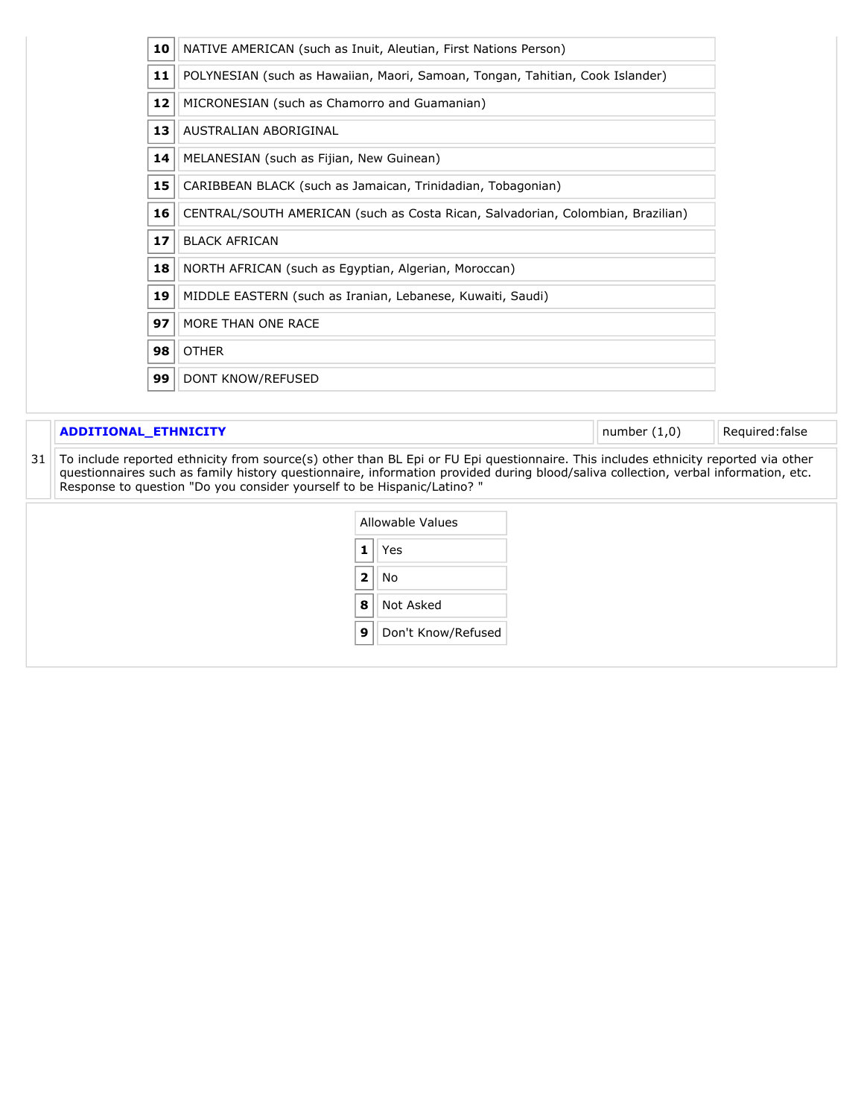| 10 | NATIVE AMERICAN (such as Inuit, Aleutian, First Nations Person)                 |
|----|---------------------------------------------------------------------------------|
| 11 | POLYNESIAN (such as Hawaiian, Maori, Samoan, Tongan, Tahitian, Cook Islander)   |
| 12 | MICRONESIAN (such as Chamorro and Guamanian)                                    |
| 13 | AUSTRALIAN ABORIGINAL                                                           |
| 14 | MELANESIAN (such as Fijian, New Guinean)                                        |
| 15 | CARIBBEAN BLACK (such as Jamaican, Trinidadian, Tobagonian)                     |
| 16 | CENTRAL/SOUTH AMERICAN (such as Costa Rican, Salvadorian, Colombian, Brazilian) |
| 17 | <b>BLACK AFRICAN</b>                                                            |
| 18 | NORTH AFRICAN (such as Egyptian, Algerian, Moroccan)                            |
| 19 | MIDDLE EASTERN (such as Iranian, Lebanese, Kuwaiti, Saudi)                      |
| 97 | MORE THAN ONE RACE                                                              |
| 98 | <b>OTHER</b>                                                                    |
| 99 | DONT KNOW/REFUSED                                                               |

#### **ADDITIONAL\_ETHNICITY Number (1,0)** Required:false

<span id="page-18-0"></span> To include reported ethnicity from source(s) other than BL Epi or FU Epi questionnaire. This includes ethnicity reported via other questionnaires such as family history questionnaire, information provided during blood/saliva collection, verbal information, etc. Response to question "Do you consider yourself to be Hispanic/Latino? "

|    | Allowable Values   |  |  |  |  |
|----|--------------------|--|--|--|--|
| 1  | Yes                |  |  |  |  |
| 2. | N٥                 |  |  |  |  |
| 8  | Not Asked          |  |  |  |  |
| 9  | Don't Know/Refused |  |  |  |  |
|    |                    |  |  |  |  |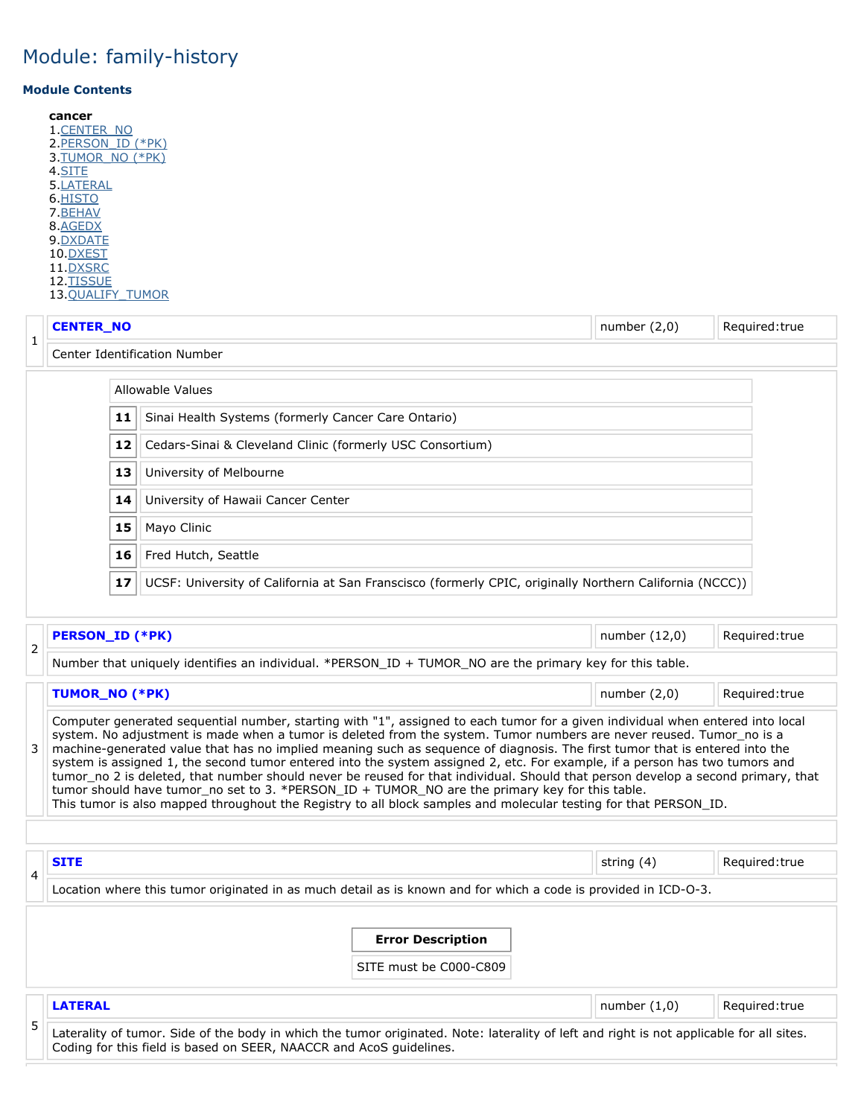#### <span id="page-19-5"></span>**Module Contents**

**cancer** 1[.CENTER\\_NO](#page-19-0) 2. PERSON\_ID (\*PK) 3[.TUMOR\\_NO \(\\*PK\)](#page-19-2) 4.<u>SITE</u> 5.<u>LATERAL</u> 6[.HISTO](#page-20-0) 7[.BEHAV](#page-20-1) 8[.AGEDX](#page-20-2) 9[.DXDATE](#page-19-5) 10[.DXEST](#page-21-0) 11[.DXSRC](#page-21-1) 12[.TISSUE](#page-22-0) 13[.QUALIFY\\_TUMOR](#page-22-1)

<span id="page-19-0"></span>

|                                                                 |                               | <b>CENTER_NO</b><br>number $(2,0)$<br>Required: true                                                    |  |  |  |  |  |  |  |
|-----------------------------------------------------------------|-------------------------------|---------------------------------------------------------------------------------------------------------|--|--|--|--|--|--|--|
|                                                                 | Center Identification Number  |                                                                                                         |  |  |  |  |  |  |  |
|                                                                 |                               | Allowable Values                                                                                        |  |  |  |  |  |  |  |
| Sinai Health Systems (formerly Cancer Care Ontario)<br>11       |                               |                                                                                                         |  |  |  |  |  |  |  |
| 12<br>Cedars-Sinai & Cleveland Clinic (formerly USC Consortium) |                               |                                                                                                         |  |  |  |  |  |  |  |
|                                                                 | 13<br>University of Melbourne |                                                                                                         |  |  |  |  |  |  |  |
|                                                                 | 14                            | University of Hawaii Cancer Center                                                                      |  |  |  |  |  |  |  |
|                                                                 | 15                            | Mayo Clinic                                                                                             |  |  |  |  |  |  |  |
|                                                                 | 16                            | Fred Hutch, Seattle                                                                                     |  |  |  |  |  |  |  |
|                                                                 | 17                            | UCSF: University of California at San Franscisco (formerly CPIC, originally Northern California (NCCC)) |  |  |  |  |  |  |  |

<span id="page-19-1"></span>

| ∽ | <b>PERSON_ID (*PK)</b>                                                                                   | number (12,0)  | Required: true |
|---|----------------------------------------------------------------------------------------------------------|----------------|----------------|
| ∠ | Number that uniquely identifies an individual. *PERSON_ID + TUMOR_NO are the primary key for this table. |                |                |
|   | TUMOR_NO (*PK)                                                                                           | number $(2,0)$ | Required: true |

<span id="page-19-2"></span>

| Computer generated sequential number, starting with "1", assigned to each tumor for a given individual when entered into local<br>system. No adjustment is made when a tumor is deleted from the system. Tumor numbers are never reused. Tumor_no is a<br>3 machine-generated value that has no implied meaning such as sequence of diagnosis. The first tumor that is entered into the<br>system is assigned 1, the second tumor entered into the system assigned 2, etc. For example, if a person has two tumors and<br>tumor no 2 is deleted, that number should never be reused for that individual. Should that person develop a second primary, that<br>tumor should have tumor_no set to 3. *PERSON_ID + TUMOR_NO are the primary key for this table.<br>This tumor is also mapped throughout the Registry to all block samples and molecular testing for that PERSON_ID. |  |
|----------------------------------------------------------------------------------------------------------------------------------------------------------------------------------------------------------------------------------------------------------------------------------------------------------------------------------------------------------------------------------------------------------------------------------------------------------------------------------------------------------------------------------------------------------------------------------------------------------------------------------------------------------------------------------------------------------------------------------------------------------------------------------------------------------------------------------------------------------------------------------|--|
|                                                                                                                                                                                                                                                                                                                                                                                                                                                                                                                                                                                                                                                                                                                                                                                                                                                                                  |  |

<span id="page-19-4"></span><span id="page-19-3"></span>

| 4 | <b>SITE</b>                                                                                                     |                                                                                                                                          | string (4)     | Required:true  |
|---|-----------------------------------------------------------------------------------------------------------------|------------------------------------------------------------------------------------------------------------------------------------------|----------------|----------------|
|   | Location where this tumor originated in as much detail as is known and for which a code is provided in ICD-O-3. |                                                                                                                                          |                |                |
|   |                                                                                                                 |                                                                                                                                          |                |                |
|   |                                                                                                                 | <b>Error Description</b>                                                                                                                 |                |                |
|   |                                                                                                                 | SITE must be C000-C809                                                                                                                   |                |                |
|   |                                                                                                                 |                                                                                                                                          |                |                |
|   | <b>LATERAL</b>                                                                                                  |                                                                                                                                          | number $(1,0)$ | Required: true |
| 5 | Coding for this field is based on SEER, NAACCR and AcoS quidelines.                                             | Laterality of tumor. Side of the body in which the tumor originated. Note: laterality of left and right is not applicable for all sites. |                |                |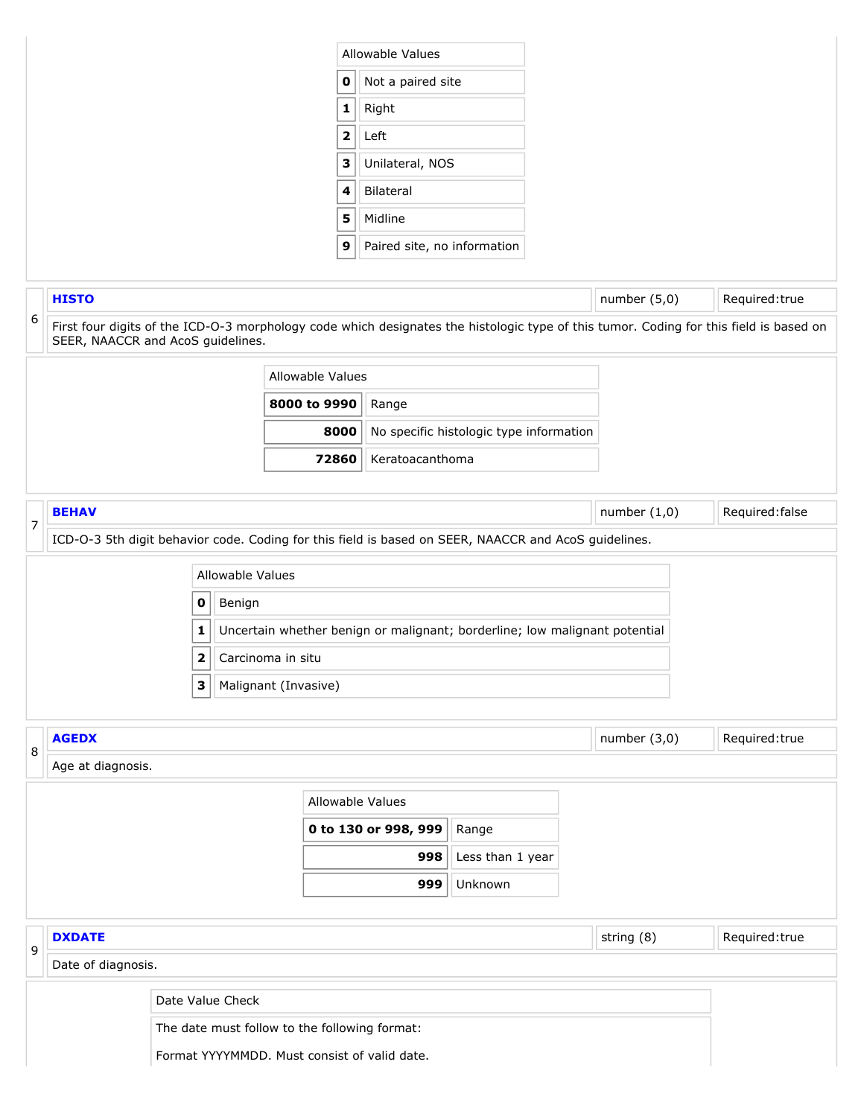<span id="page-20-2"></span><span id="page-20-1"></span><span id="page-20-0"></span>

|        |                                   |                     |             |                                               | Allowable Values            |                                                                            |                |                                                                                                                                        |
|--------|-----------------------------------|---------------------|-------------|-----------------------------------------------|-----------------------------|----------------------------------------------------------------------------|----------------|----------------------------------------------------------------------------------------------------------------------------------------|
|        |                                   |                     |             | $\mathbf 0$                                   | Not a paired site           |                                                                            |                |                                                                                                                                        |
|        |                                   |                     |             | $\mathbf 1$                                   |                             |                                                                            |                |                                                                                                                                        |
|        |                                   |                     |             | Right                                         |                             |                                                                            |                |                                                                                                                                        |
|        |                                   |                     | $\mathbf 2$ | Left                                          |                             |                                                                            |                |                                                                                                                                        |
|        |                                   |                     |             | $\mathbf 3$                                   | Unilateral, NOS             |                                                                            |                |                                                                                                                                        |
|        |                                   |                     |             | 4                                             | Bilateral                   |                                                                            |                |                                                                                                                                        |
|        |                                   |                     |             | 5                                             | Midline                     |                                                                            |                |                                                                                                                                        |
|        |                                   |                     |             | 9                                             | Paired site, no information |                                                                            |                |                                                                                                                                        |
|        | <b>HISTO</b>                      |                     |             |                                               |                             |                                                                            | number $(5,0)$ | Required: true                                                                                                                         |
| 6      | SEER, NAACCR and AcoS guidelines. |                     |             |                                               |                             |                                                                            |                | First four digits of the ICD-O-3 morphology code which designates the histologic type of this tumor. Coding for this field is based on |
|        |                                   |                     |             | Allowable Values                              |                             |                                                                            |                |                                                                                                                                        |
|        |                                   |                     |             | 8000 to 9990                                  | Range                       |                                                                            |                |                                                                                                                                        |
|        |                                   |                     |             | 8000                                          |                             | No specific histologic type information                                    |                |                                                                                                                                        |
|        |                                   |                     |             | 72860                                         | Keratoacanthoma             |                                                                            |                |                                                                                                                                        |
|        |                                   |                     |             |                                               |                             |                                                                            |                |                                                                                                                                        |
| 7      | <b>BEHAV</b>                      |                     |             |                                               |                             |                                                                            | number $(1,0)$ | Required: false                                                                                                                        |
|        |                                   | $\mathbf 0$<br>1    | Benign      |                                               |                             | Uncertain whether benign or malignant; borderline; low malignant potential |                |                                                                                                                                        |
|        |                                   | $\overline{2}$<br>3 |             | Carcinoma in situ<br>Malignant (Invasive)     |                             |                                                                            |                |                                                                                                                                        |
|        |                                   |                     |             |                                               |                             |                                                                            |                |                                                                                                                                        |
|        | <b>AGEDX</b><br>Age at diagnosis. |                     |             |                                               |                             |                                                                            | number $(3,0)$ | Required:true                                                                                                                          |
|        |                                   |                     |             | Allowable Values                              |                             |                                                                            |                |                                                                                                                                        |
|        |                                   |                     |             |                                               | 0 to 130 or 998, 999        | Range                                                                      |                |                                                                                                                                        |
|        |                                   |                     |             |                                               | 998                         | Less than 1 year                                                           |                |                                                                                                                                        |
|        |                                   |                     |             |                                               | 999                         | Unknown                                                                    |                |                                                                                                                                        |
|        |                                   |                     |             |                                               |                             |                                                                            |                |                                                                                                                                        |
|        | <b>DXDATE</b>                     |                     |             |                                               |                             |                                                                            | string (8)     | Required:true                                                                                                                          |
|        | Date of diagnosis.                |                     |             |                                               |                             |                                                                            |                |                                                                                                                                        |
| 8<br>9 |                                   | Date Value Check    |             |                                               |                             |                                                                            |                |                                                                                                                                        |
|        |                                   |                     |             | The date must follow to the following format: |                             |                                                                            |                |                                                                                                                                        |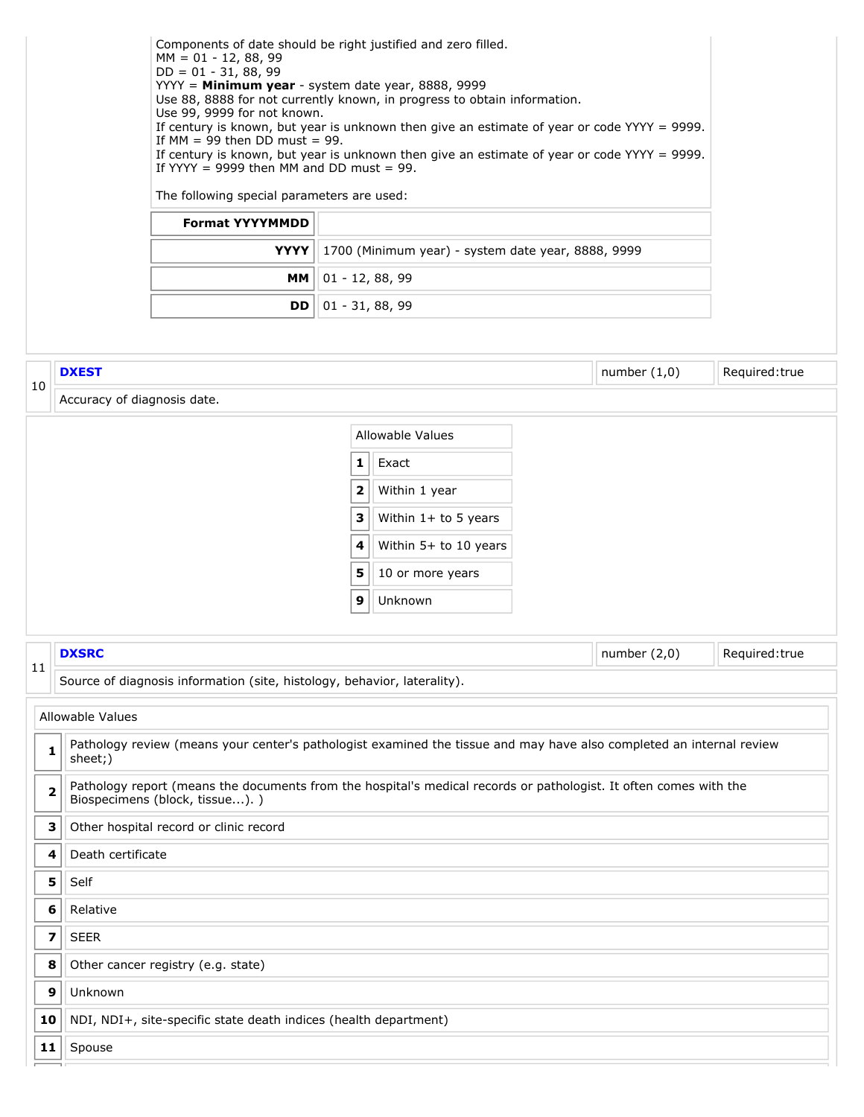<span id="page-21-1"></span><span id="page-21-0"></span>

|                         |                             | Components of date should be right justified and zero filled.<br>$MM = 01 - 12, 88, 99$<br>$DD = 01 - 31, 88, 99$<br>YYYY = Minimum year - system date year, 8888, 9999<br>Use 88, 8888 for not currently known, in progress to obtain information.<br>Use 99, 9999 for not known.<br>If $MM = 99$ then DD must = 99.<br>If YYYY = 9999 then MM and DD must = 99.<br>The following special parameters are used:<br><b>Format YYYYMMDD</b><br><b>YYYY</b><br><b>MM</b><br><b>DD</b> | $01 - 12, 88, 99$<br>$01 - 31, 88, 99$           | 1700 (Minimum year) - system date year, 8888, 9999                                                       | If century is known, but year is unknown then give an estimate of year or code YYYY = 9999.<br>If century is known, but year is unknown then give an estimate of year or code $YYYY = 9999$ .                                             |               |
|-------------------------|-----------------------------|------------------------------------------------------------------------------------------------------------------------------------------------------------------------------------------------------------------------------------------------------------------------------------------------------------------------------------------------------------------------------------------------------------------------------------------------------------------------------------|--------------------------------------------------|----------------------------------------------------------------------------------------------------------|-------------------------------------------------------------------------------------------------------------------------------------------------------------------------------------------------------------------------------------------|---------------|
|                         | <b>DXEST</b>                |                                                                                                                                                                                                                                                                                                                                                                                                                                                                                    |                                                  |                                                                                                          | number $(1,0)$                                                                                                                                                                                                                            | Required:true |
| 10                      | Accuracy of diagnosis date. |                                                                                                                                                                                                                                                                                                                                                                                                                                                                                    |                                                  |                                                                                                          |                                                                                                                                                                                                                                           |               |
|                         |                             |                                                                                                                                                                                                                                                                                                                                                                                                                                                                                    | 1<br>$\overline{\mathbf{2}}$<br>3<br>4<br>5<br>9 | Exact<br>Within 1 year<br>Within $1+$ to 5 years<br>Within 5+ to 10 years<br>10 or more years<br>Unknown |                                                                                                                                                                                                                                           |               |
|                         | <b>DXSRC</b>                |                                                                                                                                                                                                                                                                                                                                                                                                                                                                                    |                                                  |                                                                                                          | number $(2,0)$                                                                                                                                                                                                                            | Required:true |
| 11                      |                             | Source of diagnosis information (site, histology, behavior, laterality).                                                                                                                                                                                                                                                                                                                                                                                                           |                                                  |                                                                                                          |                                                                                                                                                                                                                                           |               |
|                         | Allowable Values            |                                                                                                                                                                                                                                                                                                                                                                                                                                                                                    |                                                  |                                                                                                          |                                                                                                                                                                                                                                           |               |
| 1                       | sheet;)                     |                                                                                                                                                                                                                                                                                                                                                                                                                                                                                    |                                                  |                                                                                                          | Pathology review (means your center's pathologist examined the tissue and may have also completed an internal review<br>Pathology report (means the documents from the hospital's medical records or pathologist. It often comes with the |               |
| $\overline{\mathbf{2}}$ |                             | Biospecimens (block, tissue).)                                                                                                                                                                                                                                                                                                                                                                                                                                                     |                                                  |                                                                                                          |                                                                                                                                                                                                                                           |               |
| з                       |                             | Other hospital record or clinic record                                                                                                                                                                                                                                                                                                                                                                                                                                             |                                                  |                                                                                                          |                                                                                                                                                                                                                                           |               |
| 4                       | Death certificate           |                                                                                                                                                                                                                                                                                                                                                                                                                                                                                    |                                                  |                                                                                                          |                                                                                                                                                                                                                                           |               |
| 5                       | Self                        |                                                                                                                                                                                                                                                                                                                                                                                                                                                                                    |                                                  |                                                                                                          |                                                                                                                                                                                                                                           |               |
| 6<br>7                  | Relative<br><b>SEER</b>     |                                                                                                                                                                                                                                                                                                                                                                                                                                                                                    |                                                  |                                                                                                          |                                                                                                                                                                                                                                           |               |
| 8                       |                             | Other cancer registry (e.g. state)                                                                                                                                                                                                                                                                                                                                                                                                                                                 |                                                  |                                                                                                          |                                                                                                                                                                                                                                           |               |
| 9                       | Unknown                     |                                                                                                                                                                                                                                                                                                                                                                                                                                                                                    |                                                  |                                                                                                          |                                                                                                                                                                                                                                           |               |
| 10                      |                             | NDI, NDI+, site-specific state death indices (health department)                                                                                                                                                                                                                                                                                                                                                                                                                   |                                                  |                                                                                                          |                                                                                                                                                                                                                                           |               |
| 11                      | Spouse                      |                                                                                                                                                                                                                                                                                                                                                                                                                                                                                    |                                                  |                                                                                                          |                                                                                                                                                                                                                                           |               |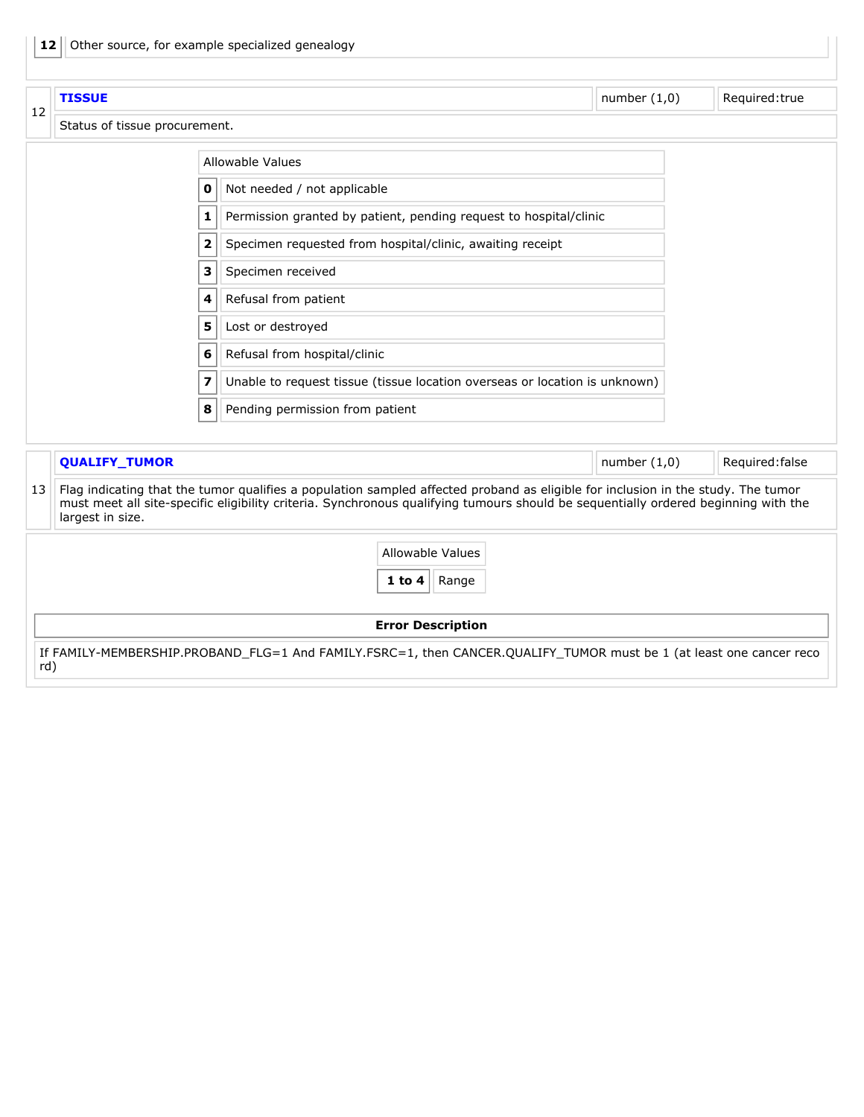<span id="page-22-1"></span><span id="page-22-0"></span>

|    | <b>TISSUE</b>                 |                                                                            |                                                                                                                                                                                                                                                                        | number $(1,0)$ |  | Required:true   |  |  |  |
|----|-------------------------------|----------------------------------------------------------------------------|------------------------------------------------------------------------------------------------------------------------------------------------------------------------------------------------------------------------------------------------------------------------|----------------|--|-----------------|--|--|--|
| 12 | Status of tissue procurement. |                                                                            |                                                                                                                                                                                                                                                                        |                |  |                 |  |  |  |
|    |                               | <b>Allowable Values</b>                                                    |                                                                                                                                                                                                                                                                        |                |  |                 |  |  |  |
|    | 0                             |                                                                            |                                                                                                                                                                                                                                                                        |                |  |                 |  |  |  |
|    | 1                             |                                                                            |                                                                                                                                                                                                                                                                        |                |  |                 |  |  |  |
|    | $\overline{\mathbf{2}}$       |                                                                            | Specimen requested from hospital/clinic, awaiting receipt                                                                                                                                                                                                              |                |  |                 |  |  |  |
|    | З                             | Specimen received                                                          |                                                                                                                                                                                                                                                                        |                |  |                 |  |  |  |
|    | 4                             |                                                                            |                                                                                                                                                                                                                                                                        |                |  |                 |  |  |  |
|    | 5                             |                                                                            |                                                                                                                                                                                                                                                                        |                |  |                 |  |  |  |
|    |                               | Refusal from hospital/clinic<br>6                                          |                                                                                                                                                                                                                                                                        |                |  |                 |  |  |  |
|    | 7                             | Unable to request tissue (tissue location overseas or location is unknown) |                                                                                                                                                                                                                                                                        |                |  |                 |  |  |  |
|    | 8                             | Pending permission from patient                                            |                                                                                                                                                                                                                                                                        |                |  |                 |  |  |  |
|    | <b>QUALIFY_TUMOR</b>          |                                                                            |                                                                                                                                                                                                                                                                        | number $(1,0)$ |  | Required: false |  |  |  |
| 13 | largest in size.              |                                                                            | Flag indicating that the tumor qualifies a population sampled affected proband as eligible for inclusion in the study. The tumor<br>must meet all site-specific eligibility criteria. Synchronous qualifying tumours should be sequentially ordered beginning with the |                |  |                 |  |  |  |
|    |                               |                                                                            | Allowable Values                                                                                                                                                                                                                                                       |                |  |                 |  |  |  |
|    |                               |                                                                            | $1$ to $4$<br>Range                                                                                                                                                                                                                                                    |                |  |                 |  |  |  |
|    |                               |                                                                            | <b>Error Description</b>                                                                                                                                                                                                                                               |                |  |                 |  |  |  |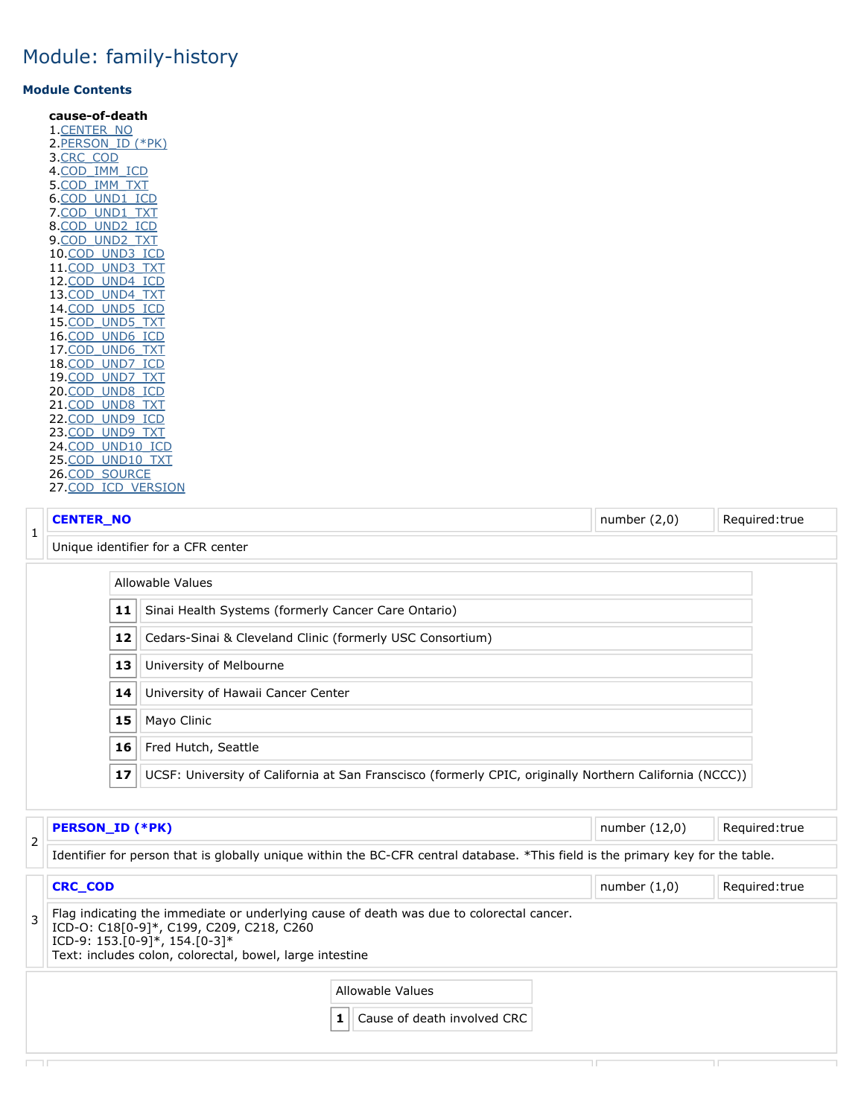#### **Module Contents**

| cause-of-death         |
|------------------------|
| 1.CENTER NO            |
| 2 PERSON ID (*PK)      |
| 3 CRC COD              |
| 4.COD IMM ICD          |
| 5.COD IMM TXT          |
| 6.COD UND1 ICD         |
| 7.COD UND1 TXT         |
| 8.COD UND2 ICD         |
| 9. <u>COD UND2 TXT</u> |
| 10.COD UND3 ICD        |
| 11.COD UND3 TXT        |
| 12.COD UND4 ICD        |
| 13.COD UND4 TXT        |
| 14. COD UND5 ICD       |
| 15.COD UND5 TXT        |
| 16.COD UND6 ICD        |
| 17.COD UND6 TXT        |
| 18.COD UND7 ICD        |
| 19.COD UND7 TXT        |
| 20. COD UND8 ICD       |
| 21.COD UND8 TXT        |
| 22.COD UND9 ICD        |
| 23.COD UND9 TXT        |
| 24.COD UND10 ICD       |
| 25.COD UND10 TXT       |
| 26.COD SOURCE          |
| 27. COD ICD VERSION    |

#### **CENTER\_NO** Required:true

<span id="page-23-0"></span>

| Unique identifier for a CFR center |  |
|------------------------------------|--|
|                                    |  |

|    | que identifier for a en Ricchten                                                                        |  |  |  |
|----|---------------------------------------------------------------------------------------------------------|--|--|--|
|    | Allowable Values                                                                                        |  |  |  |
| 11 | Sinai Health Systems (formerly Cancer Care Ontario)                                                     |  |  |  |
| 12 | Cedars-Sinai & Cleveland Clinic (formerly USC Consortium)                                               |  |  |  |
| 13 | University of Melbourne                                                                                 |  |  |  |
| 14 | University of Hawaii Cancer Center                                                                      |  |  |  |
| 15 | Mayo Clinic                                                                                             |  |  |  |
| 16 | Fred Hutch, Seattle                                                                                     |  |  |  |
| 17 | UCSF: University of California at San Franscisco (formerly CPIC, originally Northern California (NCCC)) |  |  |  |

<span id="page-23-3"></span><span id="page-23-2"></span><span id="page-23-1"></span>

|   | <b>PERSON_ID (*PK)</b>                                                                                                                                                                                                                | number $(12,0)$                                       | Required: true |                |  |  |
|---|---------------------------------------------------------------------------------------------------------------------------------------------------------------------------------------------------------------------------------------|-------------------------------------------------------|----------------|----------------|--|--|
| 2 | Identifier for person that is globally unique within the BC-CFR central database. *This field is the primary key for the table.                                                                                                       |                                                       |                |                |  |  |
|   | <b>CRC_COD</b>                                                                                                                                                                                                                        |                                                       | number $(1,0)$ | Required: true |  |  |
|   | Flag indicating the immediate or underlying cause of death was due to colorectal cancer.<br>ICD-0: C18[0-9]*, C199, C209, C218, C260<br>ICD-9: $153$ [0-9]*, $154$ [0-3]*<br>Text: includes colon, colorectal, bowel, large intestine |                                                       |                |                |  |  |
|   |                                                                                                                                                                                                                                       | Allowable Values<br>Cause of death involved CRC<br>11 |                |                |  |  |
|   |                                                                                                                                                                                                                                       |                                                       |                |                |  |  |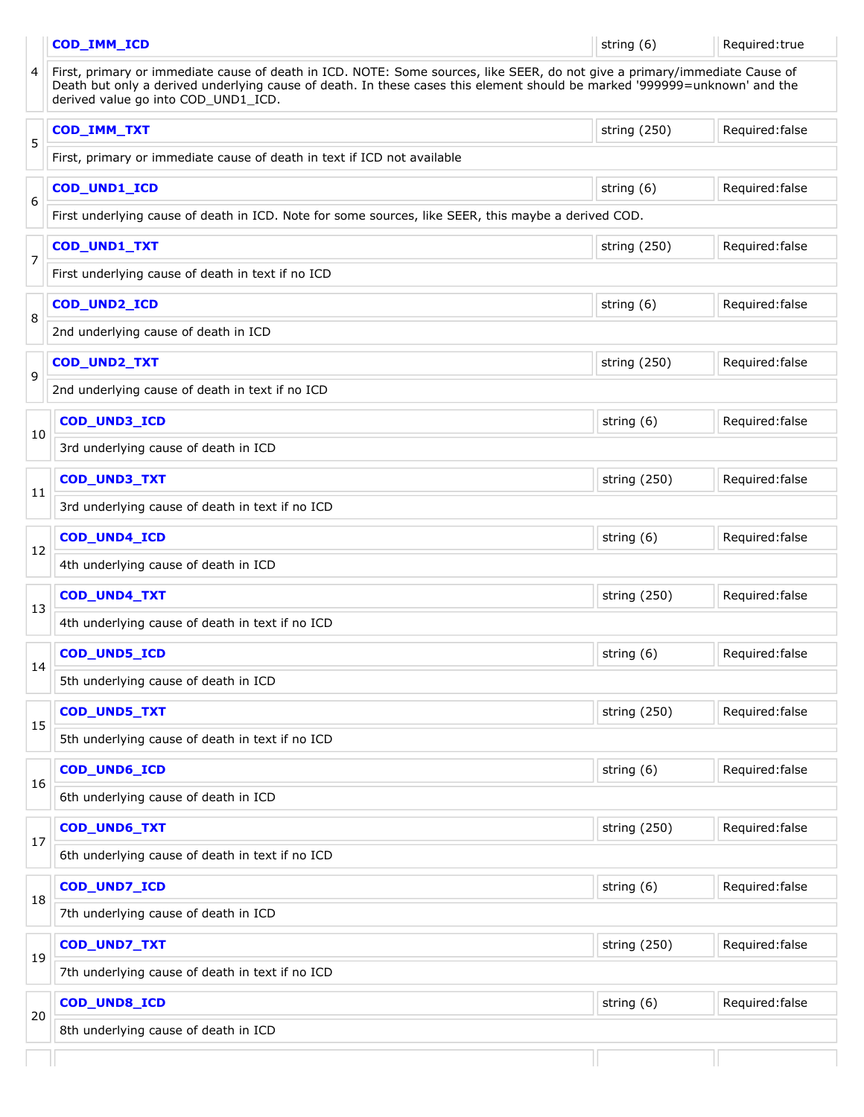<span id="page-24-16"></span><span id="page-24-15"></span><span id="page-24-14"></span><span id="page-24-13"></span><span id="page-24-12"></span><span id="page-24-11"></span><span id="page-24-10"></span><span id="page-24-9"></span><span id="page-24-8"></span><span id="page-24-7"></span><span id="page-24-6"></span><span id="page-24-5"></span><span id="page-24-4"></span><span id="page-24-3"></span><span id="page-24-2"></span><span id="page-24-1"></span><span id="page-24-0"></span>

|                | COD_IMM_ICD                                                                                                                                                                                                                                                                                    | string (6)   | Required: true  |  |  |  |
|----------------|------------------------------------------------------------------------------------------------------------------------------------------------------------------------------------------------------------------------------------------------------------------------------------------------|--------------|-----------------|--|--|--|
| 4              | First, primary or immediate cause of death in ICD. NOTE: Some sources, like SEER, do not give a primary/immediate Cause of<br>Death but only a derived underlying cause of death. In these cases this element should be marked '999999=unknown' and the<br>derived value go into COD_UND1_ICD. |              |                 |  |  |  |
|                | COD_IMM_TXT                                                                                                                                                                                                                                                                                    | string (250) | Required: false |  |  |  |
| 5              | First, primary or immediate cause of death in text if ICD not available                                                                                                                                                                                                                        |              |                 |  |  |  |
| 6              | COD_UND1_ICD                                                                                                                                                                                                                                                                                   | string (6)   | Required: false |  |  |  |
|                | First underlying cause of death in ICD. Note for some sources, like SEER, this maybe a derived COD.                                                                                                                                                                                            |              |                 |  |  |  |
| $\overline{7}$ | COD_UND1_TXT                                                                                                                                                                                                                                                                                   | string (250) | Required: false |  |  |  |
|                | First underlying cause of death in text if no ICD                                                                                                                                                                                                                                              |              |                 |  |  |  |
| 8              | COD_UND2_ICD                                                                                                                                                                                                                                                                                   | string (6)   | Required: false |  |  |  |
|                | 2nd underlying cause of death in ICD                                                                                                                                                                                                                                                           |              |                 |  |  |  |
| 9              | COD_UND2_TXT                                                                                                                                                                                                                                                                                   | string (250) | Required: false |  |  |  |
|                | 2nd underlying cause of death in text if no ICD                                                                                                                                                                                                                                                |              |                 |  |  |  |
|                | COD_UND3_ICD                                                                                                                                                                                                                                                                                   | string (6)   | Required: false |  |  |  |
| 10             | 3rd underlying cause of death in ICD                                                                                                                                                                                                                                                           |              |                 |  |  |  |
|                | COD_UND3_TXT                                                                                                                                                                                                                                                                                   | string (250) | Required: false |  |  |  |
| 11             | 3rd underlying cause of death in text if no ICD                                                                                                                                                                                                                                                |              |                 |  |  |  |
|                | COD_UND4_ICD                                                                                                                                                                                                                                                                                   | string (6)   | Required: false |  |  |  |
| 12             | 4th underlying cause of death in ICD                                                                                                                                                                                                                                                           |              |                 |  |  |  |
|                | COD_UND4_TXT                                                                                                                                                                                                                                                                                   | string (250) | Required: false |  |  |  |
| 13             | 4th underlying cause of death in text if no ICD                                                                                                                                                                                                                                                |              |                 |  |  |  |
|                | COD_UND5_ICD                                                                                                                                                                                                                                                                                   | string (6)   | Required: false |  |  |  |
| 14             | 5th underlying cause of death in ICD                                                                                                                                                                                                                                                           |              |                 |  |  |  |
|                | COD_UND5_TXT                                                                                                                                                                                                                                                                                   | string (250) | Required: false |  |  |  |
| 15             | 5th underlying cause of death in text if no ICD                                                                                                                                                                                                                                                |              |                 |  |  |  |
|                | COD_UND6_ICD                                                                                                                                                                                                                                                                                   | string (6)   | Required: false |  |  |  |
| 16             | 6th underlying cause of death in ICD                                                                                                                                                                                                                                                           |              |                 |  |  |  |
|                | COD_UND6_TXT                                                                                                                                                                                                                                                                                   | string (250) | Required: false |  |  |  |
| 17             | 6th underlying cause of death in text if no ICD                                                                                                                                                                                                                                                |              |                 |  |  |  |
|                | COD_UND7_ICD                                                                                                                                                                                                                                                                                   | string (6)   | Required: false |  |  |  |
| 18             | 7th underlying cause of death in ICD                                                                                                                                                                                                                                                           |              |                 |  |  |  |
|                | COD_UND7_TXT                                                                                                                                                                                                                                                                                   | string (250) | Required: false |  |  |  |
| 19             | 7th underlying cause of death in text if no ICD                                                                                                                                                                                                                                                |              |                 |  |  |  |
|                | COD_UND8_ICD                                                                                                                                                                                                                                                                                   | string (6)   | Required: false |  |  |  |
| 20             | 8th underlying cause of death in ICD                                                                                                                                                                                                                                                           |              |                 |  |  |  |
|                |                                                                                                                                                                                                                                                                                                |              |                 |  |  |  |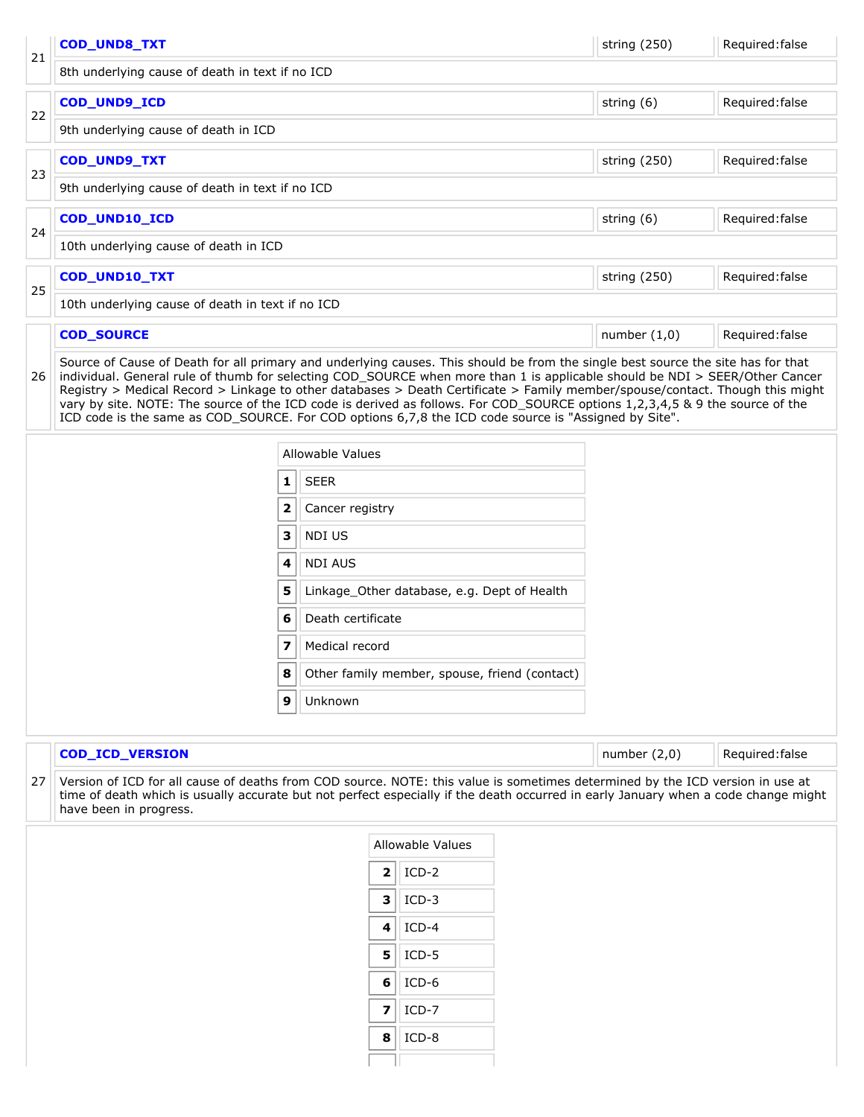<span id="page-25-4"></span><span id="page-25-3"></span><span id="page-25-2"></span><span id="page-25-1"></span><span id="page-25-0"></span>

|    | COD_UND8_TXT                                     |                |                                                                                                                                                                                                                                                                                                                                                                                                 | string (250)   | Required: false |  |
|----|--------------------------------------------------|----------------|-------------------------------------------------------------------------------------------------------------------------------------------------------------------------------------------------------------------------------------------------------------------------------------------------------------------------------------------------------------------------------------------------|----------------|-----------------|--|
| 21 | 8th underlying cause of death in text if no ICD  |                |                                                                                                                                                                                                                                                                                                                                                                                                 |                |                 |  |
|    | COD_UND9_ICD                                     | string (6)     | Required: false                                                                                                                                                                                                                                                                                                                                                                                 |                |                 |  |
| 22 | 9th underlying cause of death in ICD             |                |                                                                                                                                                                                                                                                                                                                                                                                                 |                |                 |  |
|    | COD_UND9_TXT                                     |                |                                                                                                                                                                                                                                                                                                                                                                                                 | string (250)   | Required: false |  |
| 23 | 9th underlying cause of death in text if no ICD  |                |                                                                                                                                                                                                                                                                                                                                                                                                 |                |                 |  |
|    | COD_UND10_ICD                                    |                |                                                                                                                                                                                                                                                                                                                                                                                                 | string (6)     | Required: false |  |
| 24 | 10th underlying cause of death in ICD            |                |                                                                                                                                                                                                                                                                                                                                                                                                 |                |                 |  |
|    | COD_UND10_TXT                                    |                |                                                                                                                                                                                                                                                                                                                                                                                                 | string (250)   | Required: false |  |
| 25 | 10th underlying cause of death in text if no ICD |                |                                                                                                                                                                                                                                                                                                                                                                                                 |                |                 |  |
|    | <b>COD_SOURCE</b>                                |                |                                                                                                                                                                                                                                                                                                                                                                                                 | number $(1,0)$ | Required: false |  |
|    |                                                  |                | Registry > Medical Record > Linkage to other databases > Death Certificate > Family member/spouse/contact. Though this might<br>vary by site. NOTE: The source of the ICD code is derived as follows. For COD_SOURCE options 1,2,3,4,5 & 9 the source of the<br>ICD code is the same as COD_SOURCE. For COD options 6,7,8 the ICD code source is "Assigned by Site".<br><b>Allowable Values</b> |                |                 |  |
|    |                                                  | 1              | <b>SEER</b>                                                                                                                                                                                                                                                                                                                                                                                     |                |                 |  |
|    |                                                  | 2              | Cancer registry                                                                                                                                                                                                                                                                                                                                                                                 |                |                 |  |
|    |                                                  | 3              | NDI US                                                                                                                                                                                                                                                                                                                                                                                          |                |                 |  |
|    |                                                  | 4              | <b>NDI AUS</b>                                                                                                                                                                                                                                                                                                                                                                                  |                |                 |  |
|    |                                                  | 5              | Linkage_Other database, e.g. Dept of Health                                                                                                                                                                                                                                                                                                                                                     |                |                 |  |
|    |                                                  |                |                                                                                                                                                                                                                                                                                                                                                                                                 |                |                 |  |
|    |                                                  |                |                                                                                                                                                                                                                                                                                                                                                                                                 |                |                 |  |
|    |                                                  |                |                                                                                                                                                                                                                                                                                                                                                                                                 |                |                 |  |
|    |                                                  |                |                                                                                                                                                                                                                                                                                                                                                                                                 |                |                 |  |
|    |                                                  |                |                                                                                                                                                                                                                                                                                                                                                                                                 |                |                 |  |
|    | <b>COD_ICD_VERSION</b>                           | number $(2,0)$ | Required: false                                                                                                                                                                                                                                                                                                                                                                                 |                |                 |  |

<span id="page-25-5"></span>27 Version of ICD for all cause of deaths from COD source. NOTE: this value is sometimes determined by the ICD version in use at time of death which is usually accurate but not perfect especially if the death occurred in early January when a code change might have been in progress.

| Allowable Values |         |  |  |  |
|------------------|---------|--|--|--|
| $\overline{2}$   | $ICD-2$ |  |  |  |
| 3                | $ICD-3$ |  |  |  |
| 4                | $ICD-4$ |  |  |  |
| 5                | $ICD-5$ |  |  |  |
| 6                | $ICD-6$ |  |  |  |
| 7                | $ICD-7$ |  |  |  |
| 8                | $ICD-8$ |  |  |  |
|                  |         |  |  |  |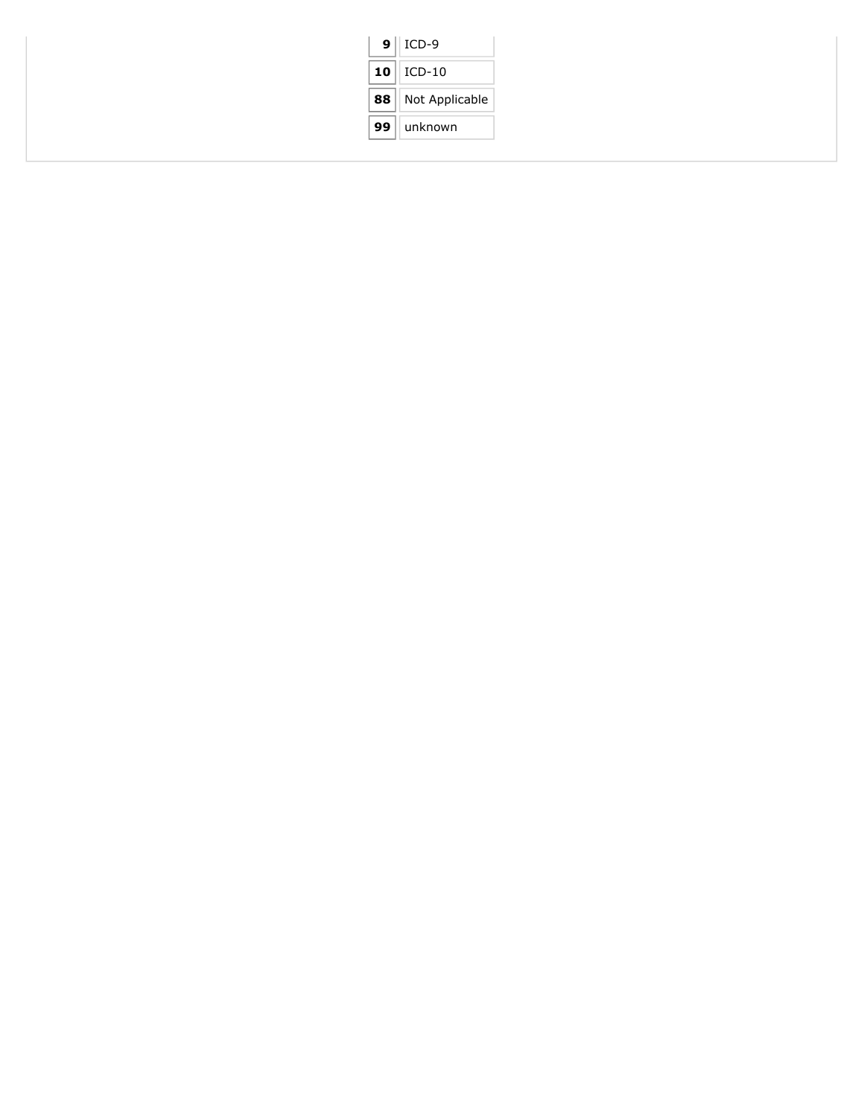|    | $9$   ICD-9    |
|----|----------------|
| 10 | $\vert$ ICD-10 |
| 88 | Not Applicable |
| 99 | unknown        |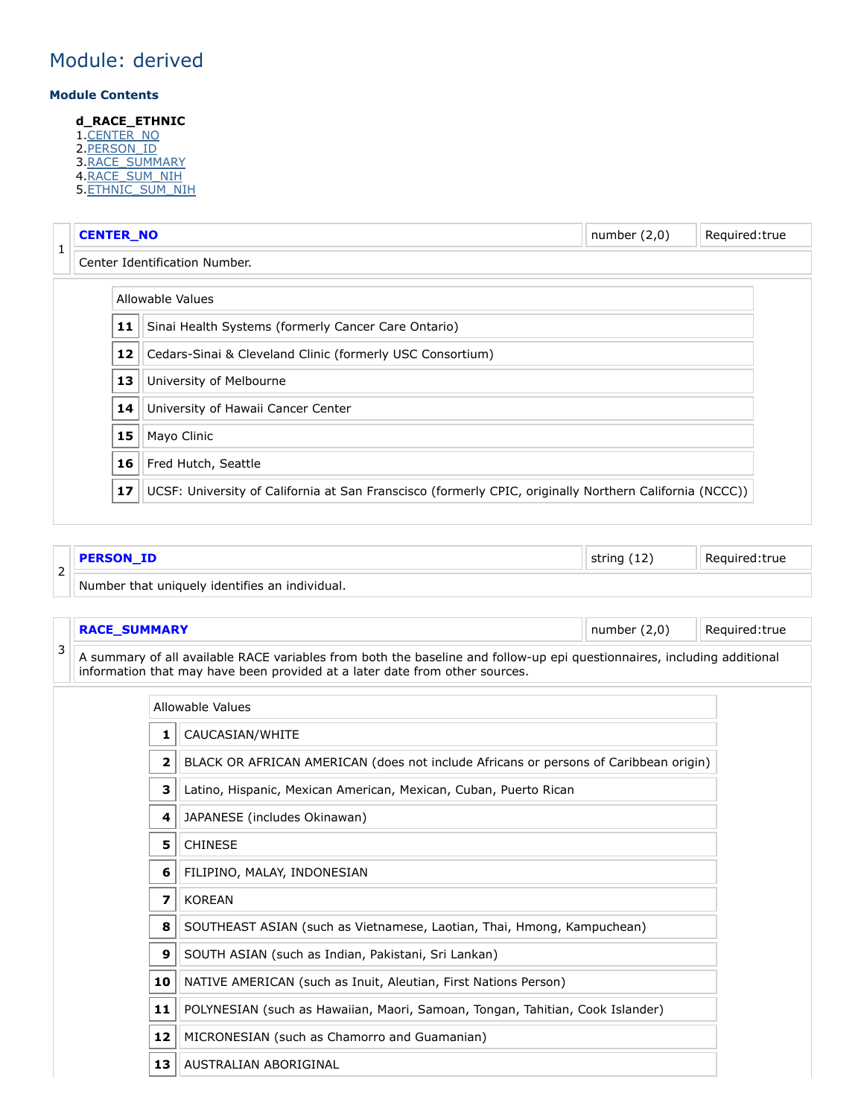### Module: derived

#### **Module Contents**

#### **d\_RACE\_ETHNIC**

- 1.[CENTER\\_NO](#page-27-0)
- 2.<u>[PERSON\\_ID](#page-27-1)</u>
- 3. [RACE\\_SUMMARY](#page-27-2)
- 4.<u>[RACE\\_SUM\\_NIH](#page-28-0)</u> 5.<u>[ETHNIC\\_SUM\\_NIH](#page-28-1)</u>

<span id="page-27-0"></span>

|   | <b>CENTER_NO</b><br>number $(2,0)$<br>Required: true            |    |                                                                                                         |  |  |  |  |  |
|---|-----------------------------------------------------------------|----|---------------------------------------------------------------------------------------------------------|--|--|--|--|--|
| 1 |                                                                 |    | Center Identification Number.                                                                           |  |  |  |  |  |
|   |                                                                 |    | Allowable Values                                                                                        |  |  |  |  |  |
|   |                                                                 | 11 | Sinai Health Systems (formerly Cancer Care Ontario)                                                     |  |  |  |  |  |
|   | 12<br>Cedars-Sinai & Cleveland Clinic (formerly USC Consortium) |    |                                                                                                         |  |  |  |  |  |
|   | 13<br>University of Melbourne                                   |    |                                                                                                         |  |  |  |  |  |
|   | 14<br>University of Hawaii Cancer Center                        |    |                                                                                                         |  |  |  |  |  |
|   |                                                                 | 15 | Mayo Clinic                                                                                             |  |  |  |  |  |
|   |                                                                 | 16 | Fred Hutch, Seattle                                                                                     |  |  |  |  |  |
|   |                                                                 | 17 | UCSF: University of California at San Franscisco (formerly CPIC, originally Northern California (NCCC)) |  |  |  |  |  |

<span id="page-27-1"></span>

| ے | <b>PERSON ID</b>                               | string (12) | Reauired: true ` |
|---|------------------------------------------------|-------------|------------------|
|   | Number that uniquely identifies an individual. |             |                  |

<span id="page-27-2"></span>**RACE\_SUMMARY Number (2,0)** Required:true

3 A summary of all available RACE variables from both the baseline and follow-up epi questionnaires, including additional information that may have been provided at a later date from other sources.

|                         | Allowable Values                                                                     |  |  |  |  |
|-------------------------|--------------------------------------------------------------------------------------|--|--|--|--|
| 1                       | CAUCASIAN/WHITE                                                                      |  |  |  |  |
| $\overline{\mathbf{2}}$ | BLACK OR AFRICAN AMERICAN (does not include Africans or persons of Caribbean origin) |  |  |  |  |
| 3                       | Latino, Hispanic, Mexican American, Mexican, Cuban, Puerto Rican                     |  |  |  |  |
| 4                       | JAPANESE (includes Okinawan)                                                         |  |  |  |  |
| 5                       | <b>CHINESE</b>                                                                       |  |  |  |  |
| 6                       | FILIPINO, MALAY, INDONESIAN                                                          |  |  |  |  |
| 7                       | <b>KOREAN</b>                                                                        |  |  |  |  |
| 8                       | SOUTHEAST ASIAN (such as Vietnamese, Laotian, Thai, Hmong, Kampuchean)               |  |  |  |  |
| 9                       | SOUTH ASIAN (such as Indian, Pakistani, Sri Lankan)                                  |  |  |  |  |
| 10                      | NATIVE AMERICAN (such as Inuit, Aleutian, First Nations Person)                      |  |  |  |  |
| 11                      | POLYNESIAN (such as Hawaiian, Maori, Samoan, Tongan, Tahitian, Cook Islander)        |  |  |  |  |
| 12                      | MICRONESIAN (such as Chamorro and Guamanian)                                         |  |  |  |  |
| 13                      | AUSTRALIAN ABORIGINAL                                                                |  |  |  |  |